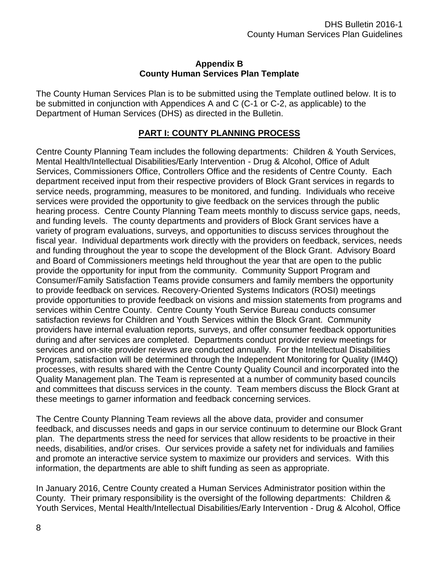#### **Appendix B County Human Services Plan Template**

The County Human Services Plan is to be submitted using the Template outlined below. It is to be submitted in conjunction with Appendices A and C (C-1 or C-2, as applicable) to the Department of Human Services (DHS) as directed in the Bulletin.

### **PART I: COUNTY PLANNING PROCESS**

Centre County Planning Team includes the following departments: Children & Youth Services, Mental Health/Intellectual Disabilities/Early Intervention - Drug & Alcohol, Office of Adult Services, Commissioners Office, Controllers Office and the residents of Centre County. Each department received input from their respective providers of Block Grant services in regards to service needs, programming, measures to be monitored, and funding. Individuals who receive services were provided the opportunity to give feedback on the services through the public hearing process. Centre County Planning Team meets monthly to discuss service gaps, needs, and funding levels. The county departments and providers of Block Grant services have a variety of program evaluations, surveys, and opportunities to discuss services throughout the fiscal year. Individual departments work directly with the providers on feedback, services, needs and funding throughout the year to scope the development of the Block Grant. Advisory Board and Board of Commissioners meetings held throughout the year that are open to the public provide the opportunity for input from the community. Community Support Program and Consumer/Family Satisfaction Teams provide consumers and family members the opportunity to provide feedback on services. Recovery-Oriented Systems Indicators (ROSI) meetings provide opportunities to provide feedback on visions and mission statements from programs and services within Centre County. Centre County Youth Service Bureau conducts consumer satisfaction reviews for Children and Youth Services within the Block Grant. Community providers have internal evaluation reports, surveys, and offer consumer feedback opportunities during and after services are completed. Departments conduct provider review meetings for services and on-site provider reviews are conducted annually. For the Intellectual Disabilities Program, satisfaction will be determined through the Independent Monitoring for Quality (IM4Q) processes, with results shared with the Centre County Quality Council and incorporated into the Quality Management plan. The Team is represented at a number of community based councils and committees that discuss services in the county. Team members discuss the Block Grant at these meetings to garner information and feedback concerning services.

The Centre County Planning Team reviews all the above data, provider and consumer feedback, and discusses needs and gaps in our service continuum to determine our Block Grant plan. The departments stress the need for services that allow residents to be proactive in their needs, disabilities, and/or crises. Our services provide a safety net for individuals and families and promote an interactive service system to maximize our providers and services. With this information, the departments are able to shift funding as seen as appropriate.

In January 2016, Centre County created a Human Services Administrator position within the County. Their primary responsibility is the oversight of the following departments: Children & Youth Services, Mental Health/Intellectual Disabilities/Early Intervention - Drug & Alcohol, Office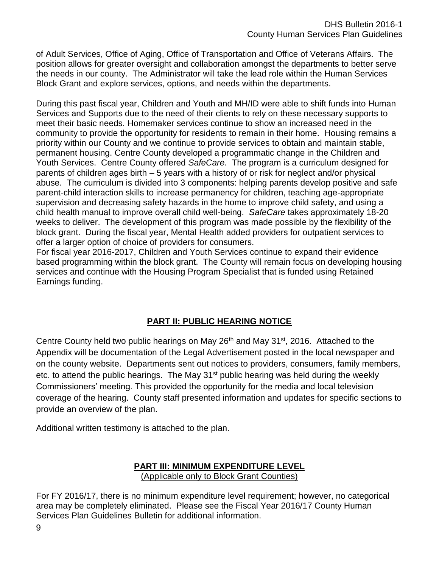of Adult Services, Office of Aging, Office of Transportation and Office of Veterans Affairs. The position allows for greater oversight and collaboration amongst the departments to better serve the needs in our county. The Administrator will take the lead role within the Human Services Block Grant and explore services, options, and needs within the departments.

During this past fiscal year, Children and Youth and MH/ID were able to shift funds into Human Services and Supports due to the need of their clients to rely on these necessary supports to meet their basic needs. Homemaker services continue to show an increased need in the community to provide the opportunity for residents to remain in their home. Housing remains a priority within our County and we continue to provide services to obtain and maintain stable, permanent housing. Centre County developed a programmatic change in the Children and Youth Services. Centre County offered *SafeCare.* The program is a curriculum designed for parents of children ages birth – 5 years with a history of or risk for neglect and/or physical abuse. The curriculum is divided into 3 components: helping parents develop positive and safe parent-child interaction skills to increase permanency for children, teaching age-appropriate supervision and decreasing safety hazards in the home to improve child safety, and using a child health manual to improve overall child well-being. *SafeCare* takes approximately 18-20 weeks to deliver. The development of this program was made possible by the flexibility of the block grant. During the fiscal year, Mental Health added providers for outpatient services to offer a larger option of choice of providers for consumers.

For fiscal year 2016-2017, Children and Youth Services continue to expand their evidence based programming within the block grant. The County will remain focus on developing housing services and continue with the Housing Program Specialist that is funded using Retained Earnings funding.

# **PART II: PUBLIC HEARING NOTICE**

Centre County held two public hearings on May 26<sup>th</sup> and May 31<sup>st</sup>, 2016. Attached to the Appendix will be documentation of the Legal Advertisement posted in the local newspaper and on the county website. Departments sent out notices to providers, consumers, family members, etc. to attend the public hearings. The May 31<sup>st</sup> public hearing was held during the weekly Commissioners' meeting. This provided the opportunity for the media and local television coverage of the hearing. County staff presented information and updates for specific sections to provide an overview of the plan.

Additional written testimony is attached to the plan.

### **PART III: MINIMUM EXPENDITURE LEVEL** (Applicable only to Block Grant Counties)

For FY 2016/17, there is no minimum expenditure level requirement; however, no categorical area may be completely eliminated. Please see the Fiscal Year 2016/17 County Human Services Plan Guidelines Bulletin for additional information.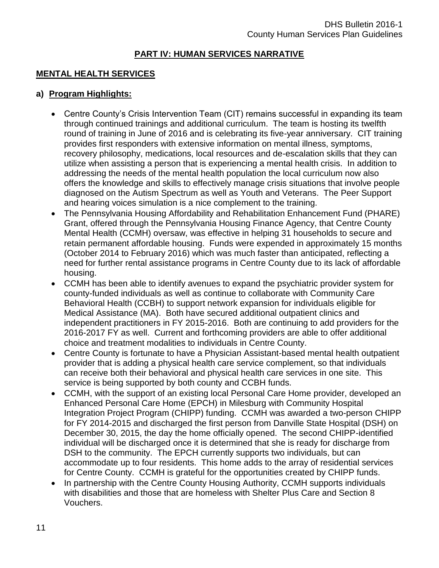### **PART IV: HUMAN SERVICES NARRATIVE**

### **MENTAL HEALTH SERVICES**

### **a) Program Highlights:**

- Centre County's Crisis Intervention Team (CIT) remains successful in expanding its team through continued trainings and additional curriculum. The team is hosting its twelfth round of training in June of 2016 and is celebrating its five-year anniversary. CIT training provides first responders with extensive information on mental illness, symptoms, recovery philosophy, medications, local resources and de-escalation skills that they can utilize when assisting a person that is experiencing a mental health crisis. In addition to addressing the needs of the mental health population the local curriculum now also offers the knowledge and skills to effectively manage crisis situations that involve people diagnosed on the Autism Spectrum as well as Youth and Veterans. The Peer Support and hearing voices simulation is a nice complement to the training.
- The Pennsylvania Housing Affordability and Rehabilitation Enhancement Fund (PHARE) Grant, offered through the Pennsylvania Housing Finance Agency, that Centre County Mental Health (CCMH) oversaw, was effective in helping 31 households to secure and retain permanent affordable housing. Funds were expended in approximately 15 months (October 2014 to February 2016) which was much faster than anticipated, reflecting a need for further rental assistance programs in Centre County due to its lack of affordable housing.
- CCMH has been able to identify avenues to expand the psychiatric provider system for county-funded individuals as well as continue to collaborate with Community Care Behavioral Health (CCBH) to support network expansion for individuals eligible for Medical Assistance (MA). Both have secured additional outpatient clinics and independent practitioners in FY 2015-2016. Both are continuing to add providers for the 2016-2017 FY as well. Current and forthcoming providers are able to offer additional choice and treatment modalities to individuals in Centre County.
- Centre County is fortunate to have a Physician Assistant-based mental health outpatient provider that is adding a physical health care service complement, so that individuals can receive both their behavioral and physical health care services in one site. This service is being supported by both county and CCBH funds.
- CCMH, with the support of an existing local Personal Care Home provider, developed an Enhanced Personal Care Home (EPCH) in Milesburg with Community Hospital Integration Project Program (CHIPP) funding. CCMH was awarded a two-person CHIPP for FY 2014-2015 and discharged the first person from Danville State Hospital (DSH) on December 30, 2015, the day the home officially opened. The second CHIPP-identified individual will be discharged once it is determined that she is ready for discharge from DSH to the community. The EPCH currently supports two individuals, but can accommodate up to four residents. This home adds to the array of residential services for Centre County. CCMH is grateful for the opportunities created by CHIPP funds.
- In partnership with the Centre County Housing Authority, CCMH supports individuals with disabilities and those that are homeless with Shelter Plus Care and Section 8 Vouchers.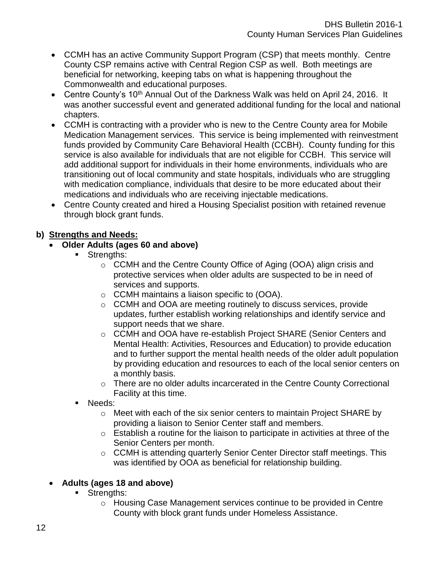- CCMH has an active Community Support Program (CSP) that meets monthly. Centre County CSP remains active with Central Region CSP as well. Both meetings are beneficial for networking, keeping tabs on what is happening throughout the Commonwealth and educational purposes.
- Centre County's 10<sup>th</sup> Annual Out of the Darkness Walk was held on April 24, 2016. It was another successful event and generated additional funding for the local and national chapters.
- CCMH is contracting with a provider who is new to the Centre County area for Mobile Medication Management services. This service is being implemented with reinvestment funds provided by Community Care Behavioral Health (CCBH). County funding for this service is also available for individuals that are not eligible for CCBH. This service will add additional support for individuals in their home environments, individuals who are transitioning out of local community and state hospitals, individuals who are struggling with medication compliance, individuals that desire to be more educated about their medications and individuals who are receiving injectable medications.
- Centre County created and hired a Housing Specialist position with retained revenue through block grant funds.

### **b) Strengths and Needs:**

- **Older Adults (ages 60 and above)**
	- **Strengths:** 
		- o CCMH and the Centre County Office of Aging (OOA) align crisis and protective services when older adults are suspected to be in need of services and supports.
		- o CCMH maintains a liaison specific to (OOA).
		- o CCMH and OOA are meeting routinely to discuss services, provide updates, further establish working relationships and identify service and support needs that we share.
		- o CCMH and OOA have re-establish Project SHARE (Senior Centers and Mental Health: Activities, Resources and Education) to provide education and to further support the mental health needs of the older adult population by providing education and resources to each of the local senior centers on a monthly basis.
		- o There are no older adults incarcerated in the Centre County Correctional Facility at this time.
	- Needs:
		- $\circ$  Meet with each of the six senior centers to maintain Project SHARE by providing a liaison to Senior Center staff and members.
		- $\circ$  Establish a routine for the liaison to participate in activities at three of the Senior Centers per month.
		- o CCMH is attending quarterly Senior Center Director staff meetings. This was identified by OOA as beneficial for relationship building.

# **Adults (ages 18 and above)**

- **Strengths:** 
	- $\circ$  Housing Case Management services continue to be provided in Centre County with block grant funds under Homeless Assistance.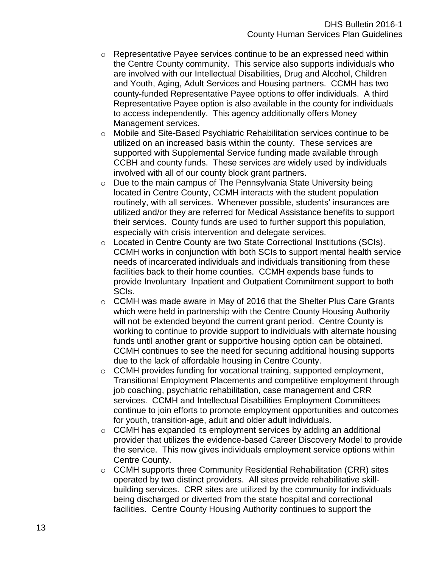- $\circ$  Representative Payee services continue to be an expressed need within the Centre County community. This service also supports individuals who are involved with our Intellectual Disabilities, Drug and Alcohol, Children and Youth, Aging, Adult Services and Housing partners. CCMH has two county-funded Representative Payee options to offer individuals. A third Representative Payee option is also available in the county for individuals to access independently. This agency additionally offers Money Management services.
- o Mobile and Site-Based Psychiatric Rehabilitation services continue to be utilized on an increased basis within the county. These services are supported with Supplemental Service funding made available through CCBH and county funds. These services are widely used by individuals involved with all of our county block grant partners.
- o Due to the main campus of The Pennsylvania State University being located in Centre County, CCMH interacts with the student population routinely, with all services. Whenever possible, students' insurances are utilized and/or they are referred for Medical Assistance benefits to support their services. County funds are used to further support this population, especially with crisis intervention and delegate services.
- $\circ$  Located in Centre County are two State Correctional Institutions (SCIs). CCMH works in conjunction with both SCIs to support mental health service needs of incarcerated individuals and individuals transitioning from these facilities back to their home counties. CCMH expends base funds to provide Involuntary Inpatient and Outpatient Commitment support to both SCIs.
- $\circ$  CCMH was made aware in May of 2016 that the Shelter Plus Care Grants which were held in partnership with the Centre County Housing Authority will not be extended beyond the current grant period. Centre County is working to continue to provide support to individuals with alternate housing funds until another grant or supportive housing option can be obtained. CCMH continues to see the need for securing additional housing supports due to the lack of affordable housing in Centre County.
- $\circ$  CCMH provides funding for vocational training, supported employment, Transitional Employment Placements and competitive employment through job coaching, psychiatric rehabilitation, case management and CRR services. CCMH and Intellectual Disabilities Employment Committees continue to join efforts to promote employment opportunities and outcomes for youth, transition-age, adult and older adult individuals.
- o CCMH has expanded its employment services by adding an additional provider that utilizes the evidence-based Career Discovery Model to provide the service. This now gives individuals employment service options within Centre County.
- o CCMH supports three Community Residential Rehabilitation (CRR) sites operated by two distinct providers. All sites provide rehabilitative skillbuilding services. CRR sites are utilized by the community for individuals being discharged or diverted from the state hospital and correctional facilities. Centre County Housing Authority continues to support the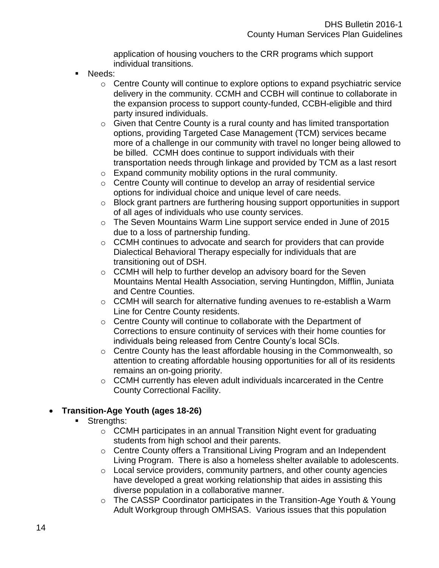application of housing vouchers to the CRR programs which support individual transitions.

- Needs:
	- $\circ$  Centre County will continue to explore options to expand psychiatric service delivery in the community. CCMH and CCBH will continue to collaborate in the expansion process to support county-funded, CCBH-eligible and third party insured individuals.
	- $\circ$  Given that Centre County is a rural county and has limited transportation options, providing Targeted Case Management (TCM) services became more of a challenge in our community with travel no longer being allowed to be billed. CCMH does continue to support individuals with their transportation needs through linkage and provided by TCM as a last resort
	- $\circ$  Expand community mobility options in the rural community.
	- o Centre County will continue to develop an array of residential service options for individual choice and unique level of care needs.
	- o Block grant partners are furthering housing support opportunities in support of all ages of individuals who use county services.
	- o The Seven Mountains Warm Line support service ended in June of 2015 due to a loss of partnership funding.
	- o CCMH continues to advocate and search for providers that can provide Dialectical Behavioral Therapy especially for individuals that are transitioning out of DSH.
	- $\circ$  CCMH will help to further develop an advisory board for the Seven Mountains Mental Health Association, serving Huntingdon, Mifflin, Juniata and Centre Counties.
	- $\circ$  CCMH will search for alternative funding avenues to re-establish a Warm Line for Centre County residents.
	- $\circ$  Centre County will continue to collaborate with the Department of Corrections to ensure continuity of services with their home counties for individuals being released from Centre County's local SCIs.
	- o Centre County has the least affordable housing in the Commonwealth, so attention to creating affordable housing opportunities for all of its residents remains an on-going priority.
	- o CCMH currently has eleven adult individuals incarcerated in the Centre County Correctional Facility.

# **Transition-Age Youth (ages 18-26)**

- **Strengths:** 
	- o CCMH participates in an annual Transition Night event for graduating students from high school and their parents.
	- o Centre County offers a Transitional Living Program and an Independent Living Program. There is also a homeless shelter available to adolescents.
	- o Local service providers, community partners, and other county agencies have developed a great working relationship that aides in assisting this diverse population in a collaborative manner.
	- o The CASSP Coordinator participates in the Transition-Age Youth & Young Adult Workgroup through OMHSAS. Various issues that this population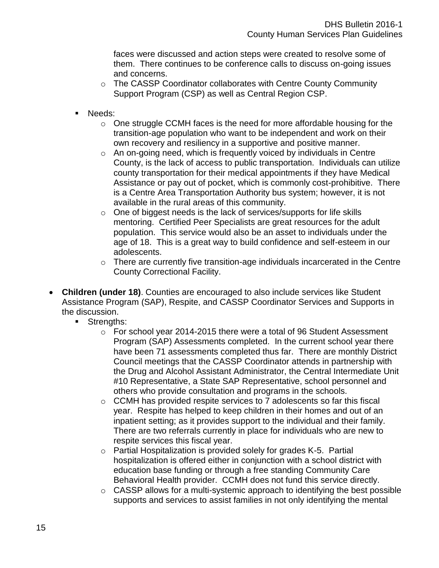faces were discussed and action steps were created to resolve some of them. There continues to be conference calls to discuss on-going issues and concerns.

- o The CASSP Coordinator collaborates with Centre County Community Support Program (CSP) as well as Central Region CSP.
- Needs:
	- o One struggle CCMH faces is the need for more affordable housing for the transition-age population who want to be independent and work on their own recovery and resiliency in a supportive and positive manner.
	- $\circ$  An on-going need, which is frequently voiced by individuals in Centre County, is the lack of access to public transportation. Individuals can utilize county transportation for their medical appointments if they have Medical Assistance or pay out of pocket, which is commonly cost-prohibitive. There is a Centre Area Transportation Authority bus system; however, it is not available in the rural areas of this community.
	- o One of biggest needs is the lack of services/supports for life skills mentoring. Certified Peer Specialists are great resources for the adult population. This service would also be an asset to individuals under the age of 18. This is a great way to build confidence and self-esteem in our adolescents.
	- $\circ$  There are currently five transition-age individuals incarcerated in the Centre County Correctional Facility.
- **Children (under 18)**. Counties are encouraged to also include services like Student Assistance Program (SAP), Respite, and CASSP Coordinator Services and Supports in the discussion.
	- **Strengths:** 
		- $\circ$  For school year 2014-2015 there were a total of 96 Student Assessment Program (SAP) Assessments completed. In the current school year there have been 71 assessments completed thus far. There are monthly District Council meetings that the CASSP Coordinator attends in partnership with the Drug and Alcohol Assistant Administrator, the Central Intermediate Unit #10 Representative, a State SAP Representative, school personnel and others who provide consultation and programs in the schools.
		- o CCMH has provided respite services to 7 adolescents so far this fiscal year. Respite has helped to keep children in their homes and out of an inpatient setting; as it provides support to the individual and their family. There are two referrals currently in place for individuals who are new to respite services this fiscal year.
		- o Partial Hospitalization is provided solely for grades K-5. Partial hospitalization is offered either in conjunction with a school district with education base funding or through a free standing Community Care Behavioral Health provider. CCMH does not fund this service directly.
		- $\circ$  CASSP allows for a multi-systemic approach to identifying the best possible supports and services to assist families in not only identifying the mental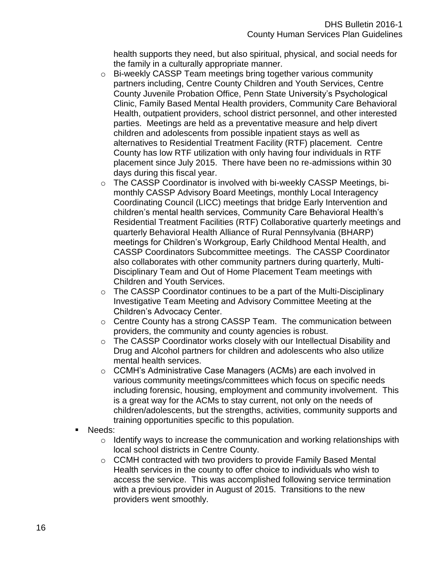health supports they need, but also spiritual, physical, and social needs for the family in a culturally appropriate manner.

- o Bi-weekly CASSP Team meetings bring together various community partners including, Centre County Children and Youth Services, Centre County Juvenile Probation Office, Penn State University's Psychological Clinic, Family Based Mental Health providers, Community Care Behavioral Health, outpatient providers, school district personnel, and other interested parties. Meetings are held as a preventative measure and help divert children and adolescents from possible inpatient stays as well as alternatives to Residential Treatment Facility (RTF) placement. Centre County has low RTF utilization with only having four individuals in RTF placement since July 2015. There have been no re-admissions within 30 days during this fiscal year.
- o The CASSP Coordinator is involved with bi-weekly CASSP Meetings, bimonthly CASSP Advisory Board Meetings, monthly Local Interagency Coordinating Council (LICC) meetings that bridge Early Intervention and children's mental health services, Community Care Behavioral Health's Residential Treatment Facilities (RTF) Collaborative quarterly meetings and quarterly Behavioral Health Alliance of Rural Pennsylvania (BHARP) meetings for Children's Workgroup, Early Childhood Mental Health, and CASSP Coordinators Subcommittee meetings. The CASSP Coordinator also collaborates with other community partners during quarterly, Multi-Disciplinary Team and Out of Home Placement Team meetings with Children and Youth Services.
- o The CASSP Coordinator continues to be a part of the Multi-Disciplinary Investigative Team Meeting and Advisory Committee Meeting at the Children's Advocacy Center.
- o Centre County has a strong CASSP Team. The communication between providers, the community and county agencies is robust.
- o The CASSP Coordinator works closely with our Intellectual Disability and Drug and Alcohol partners for children and adolescents who also utilize mental health services.
- o CCMH's Administrative Case Managers (ACMs) are each involved in various community meetings/committees which focus on specific needs including forensic, housing, employment and community involvement. This is a great way for the ACMs to stay current, not only on the needs of children/adolescents, but the strengths, activities, community supports and training opportunities specific to this population.
- Needs:
	- $\circ$  Identify ways to increase the communication and working relationships with local school districts in Centre County.
	- o CCMH contracted with two providers to provide Family Based Mental Health services in the county to offer choice to individuals who wish to access the service. This was accomplished following service termination with a previous provider in August of 2015. Transitions to the new providers went smoothly.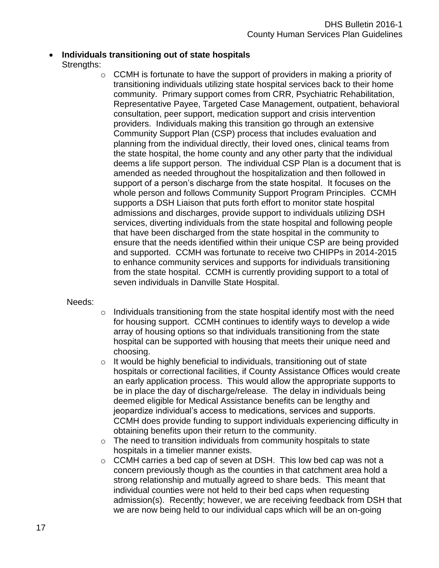### **Individuals transitioning out of state hospitals** Strengths:

 $\circ$  CCMH is fortunate to have the support of providers in making a priority of transitioning individuals utilizing state hospital services back to their home community. Primary support comes from CRR, Psychiatric Rehabilitation, Representative Payee, Targeted Case Management, outpatient, behavioral consultation, peer support, medication support and crisis intervention providers. Individuals making this transition go through an extensive Community Support Plan (CSP) process that includes evaluation and planning from the individual directly, their loved ones, clinical teams from the state hospital, the home county and any other party that the individual deems a life support person. The individual CSP Plan is a document that is amended as needed throughout the hospitalization and then followed in support of a person's discharge from the state hospital. It focuses on the whole person and follows Community Support Program Principles. CCMH supports a DSH Liaison that puts forth effort to monitor state hospital admissions and discharges, provide support to individuals utilizing DSH services, diverting individuals from the state hospital and following people that have been discharged from the state hospital in the community to ensure that the needs identified within their unique CSP are being provided and supported. CCMH was fortunate to receive two CHIPPs in 2014-2015 to enhance community services and supports for individuals transitioning from the state hospital. CCMH is currently providing support to a total of seven individuals in Danville State Hospital.

#### Needs:

- o Individuals transitioning from the state hospital identify most with the need for housing support. CCMH continues to identify ways to develop a wide array of housing options so that individuals transitioning from the state hospital can be supported with housing that meets their unique need and choosing.
- $\circ$  It would be highly beneficial to individuals, transitioning out of state hospitals or correctional facilities, if County Assistance Offices would create an early application process. This would allow the appropriate supports to be in place the day of discharge/release. The delay in individuals being deemed eligible for Medical Assistance benefits can be lengthy and jeopardize individual's access to medications, services and supports. CCMH does provide funding to support individuals experiencing difficulty in obtaining benefits upon their return to the community.
- $\circ$  The need to transition individuals from community hospitals to state hospitals in a timelier manner exists.
- o CCMH carries a bed cap of seven at DSH. This low bed cap was not a concern previously though as the counties in that catchment area hold a strong relationship and mutually agreed to share beds. This meant that individual counties were not held to their bed caps when requesting admission(s). Recently; however, we are receiving feedback from DSH that we are now being held to our individual caps which will be an on-going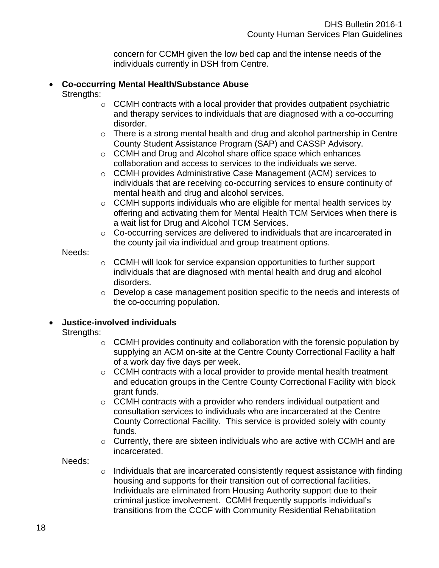concern for CCMH given the low bed cap and the intense needs of the individuals currently in DSH from Centre.

# **Co-occurring Mental Health/Substance Abuse**

- Strengths:
	- $\circ$  CCMH contracts with a local provider that provides outpatient psychiatric and therapy services to individuals that are diagnosed with a co-occurring disorder.
	- $\circ$  There is a strong mental health and drug and alcohol partnership in Centre County Student Assistance Program (SAP) and CASSP Advisory.
	- o CCMH and Drug and Alcohol share office space which enhances collaboration and access to services to the individuals we serve.
	- o CCMH provides Administrative Case Management (ACM) services to individuals that are receiving co-occurring services to ensure continuity of mental health and drug and alcohol services.
	- $\circ$  CCMH supports individuals who are eligible for mental health services by offering and activating them for Mental Health TCM Services when there is a wait list for Drug and Alcohol TCM Services.
	- o Co-occurring services are delivered to individuals that are incarcerated in the county jail via individual and group treatment options.

#### Needs:

- $\circ$  CCMH will look for service expansion opportunities to further support individuals that are diagnosed with mental health and drug and alcohol disorders.
- o Develop a case management position specific to the needs and interests of the co-occurring population.

### **Justice-involved individuals**

#### Strengths:

- $\circ$  CCMH provides continuity and collaboration with the forensic population by supplying an ACM on-site at the Centre County Correctional Facility a half of a work day five days per week.
- $\circ$  CCMH contracts with a local provider to provide mental health treatment and education groups in the Centre County Correctional Facility with block grant funds.
- o CCMH contracts with a provider who renders individual outpatient and consultation services to individuals who are incarcerated at the Centre County Correctional Facility. This service is provided solely with county funds.
- $\circ$  Currently, there are sixteen individuals who are active with CCMH and are incarcerated.

Needs:

 $\circ$  Individuals that are incarcerated consistently request assistance with finding housing and supports for their transition out of correctional facilities. Individuals are eliminated from Housing Authority support due to their criminal justice involvement. CCMH frequently supports individual's transitions from the CCCF with Community Residential Rehabilitation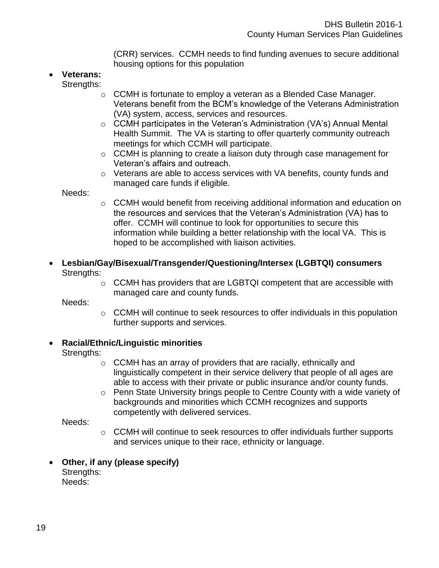(CRR) services. CCMH needs to find funding avenues to secure additional housing options for this population

- **Veterans:**
	- Strengths:
		- o CCMH is fortunate to employ a veteran as a Blended Case Manager. Veterans benefit from the BCM's knowledge of the Veterans Administration (VA) system, access, services and resources.
		- o CCMH participates in the Veteran's Administration (VA's) Annual Mental Health Summit. The VA is starting to offer quarterly community outreach meetings for which CCMH will participate.
		- $\circ$  CCMH is planning to create a liaison duty through case management for Veteran's affairs and outreach.
		- o Veterans are able to access services with VA benefits, county funds and managed care funds if eligible.

Needs:

- $\circ$  CCMH would benefit from receiving additional information and education on the resources and services that the Veteran's Administration (VA) has to offer. CCMH will continue to look for opportunities to secure this information while building a better relationship with the local VA. This is hoped to be accomplished with liaison activities.
- **Lesbian/Gay/Bisexual/Transgender/Questioning/Intersex (LGBTQI) consumers** Strengths:
	- o CCMH has providers that are LGBTQI competent that are accessible with managed care and county funds.

Needs:

 $\circ$  CCMH will continue to seek resources to offer individuals in this population further supports and services.

### **Racial/Ethnic/Linguistic minorities**

- Strengths:
	- o CCMH has an array of providers that are racially, ethnically and linguistically competent in their service delivery that people of all ages are able to access with their private or public insurance and/or county funds.
	- o Penn State University brings people to Centre County with a wide variety of backgrounds and minorities which CCMH recognizes and supports competently with delivered services.

Needs:

- $\circ$  CCMH will continue to seek resources to offer individuals further supports and services unique to their race, ethnicity or language.
- **Other, if any (please specify)** Strengths: Needs: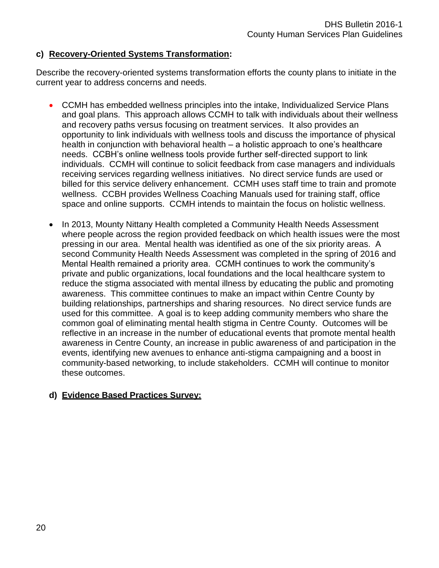#### **c) Recovery-Oriented Systems Transformation:**

Describe the recovery-oriented systems transformation efforts the county plans to initiate in the current year to address concerns and needs.

- CCMH has embedded wellness principles into the intake, Individualized Service Plans and goal plans. This approach allows CCMH to talk with individuals about their wellness and recovery paths versus focusing on treatment services. It also provides an opportunity to link individuals with wellness tools and discuss the importance of physical health in conjunction with behavioral health – a holistic approach to one's healthcare needs. CCBH's online wellness tools provide further self-directed support to link individuals. CCMH will continue to solicit feedback from case managers and individuals receiving services regarding wellness initiatives. No direct service funds are used or billed for this service delivery enhancement. CCMH uses staff time to train and promote wellness. CCBH provides Wellness Coaching Manuals used for training staff, office space and online supports. CCMH intends to maintain the focus on holistic wellness.
- In 2013, Mounty Nittany Health completed a Community Health Needs Assessment where people across the region provided feedback on which health issues were the most pressing in our area. Mental health was identified as one of the six priority areas. A second Community Health Needs Assessment was completed in the spring of 2016 and Mental Health remained a priority area. CCMH continues to work the community's private and public organizations, local foundations and the local healthcare system to reduce the stigma associated with mental illness by educating the public and promoting awareness. This committee continues to make an impact within Centre County by building relationships, partnerships and sharing resources. No direct service funds are used for this committee. A goal is to keep adding community members who share the common goal of eliminating mental health stigma in Centre County. Outcomes will be reflective in an increase in the number of educational events that promote mental health awareness in Centre County, an increase in public awareness of and participation in the events, identifying new avenues to enhance anti-stigma campaigning and a boost in community-based networking, to include stakeholders. CCMH will continue to monitor these outcomes.

### **d) Evidence Based Practices Survey:**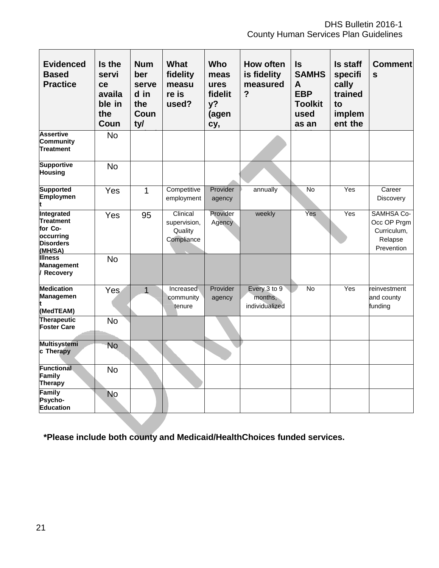DHS Bulletin 2016-1 County Human Services Plan Guidelines

| <b>Evidenced</b><br><b>Based</b><br><b>Practice</b>                            | Is the<br>servi<br>ce<br>availa<br>ble in<br>the<br>Coun | <b>Num</b><br>ber<br>serve<br>d in<br>the<br>Coun<br>ty/ | What<br>fidelity<br>measu<br>re is<br>used?       | <b>Who</b><br>meas<br>ures<br>fidelit<br>y?<br>(agen<br>cy, | <b>How often</b><br>is fidelity<br>measured<br>$\overline{?}$ | $\sf ls$<br><b>SAMHS</b><br>A<br><b>EBP</b><br><b>Toolkit</b><br>used<br>as an | <b>Is staff</b><br>specifi<br>cally<br>trained<br>to<br>implem<br>ent the | <b>Comment</b><br>$\mathbf{s}$                                           |
|--------------------------------------------------------------------------------|----------------------------------------------------------|----------------------------------------------------------|---------------------------------------------------|-------------------------------------------------------------|---------------------------------------------------------------|--------------------------------------------------------------------------------|---------------------------------------------------------------------------|--------------------------------------------------------------------------|
| <b>Assertive</b><br><b>Community</b><br><b>Treatment</b>                       | <b>No</b>                                                |                                                          |                                                   |                                                             |                                                               |                                                                                |                                                                           |                                                                          |
| <b>Supportive</b><br><b>Housing</b>                                            | <b>No</b>                                                |                                                          |                                                   |                                                             |                                                               |                                                                                |                                                                           |                                                                          |
| <b>Supported</b><br>Employmen                                                  | Yes                                                      | $\overline{1}$                                           | Competitive<br>employment                         | Provider<br>agency                                          | annually                                                      | $\overline{N}$                                                                 | Yes                                                                       | Career<br>Discovery                                                      |
| Integrated<br>Treatment<br>for Co-<br>occurring<br><b>Disorders</b><br>(MH/SA) | Yes                                                      | 95                                                       | Clinical<br>supervision,<br>Quality<br>Compliance | Provider<br>Agency                                          | weekly                                                        | Yes                                                                            | Yes                                                                       | <b>SAMHSA Co-</b><br>Occ OP Prgm<br>Curriculum,<br>Relapse<br>Prevention |
| <b>Illness</b><br><b>Management</b><br>Recovery                                | <b>No</b>                                                |                                                          |                                                   |                                                             |                                                               |                                                                                |                                                                           |                                                                          |
| <b>Medication</b><br>Managemen<br>(MedTEAM)                                    | Yes                                                      | $\overline{1}$                                           | Increased<br>community<br>tenure                  | Provider<br>agency                                          | Every 3 to 9<br>months,<br>individualized                     | No                                                                             | Yes                                                                       | reinvestment<br>and county<br>funding                                    |
| <b>Therapeutic</b><br><b>Foster Care</b>                                       | <b>No</b>                                                |                                                          |                                                   |                                                             |                                                               |                                                                                |                                                                           |                                                                          |
| <b>Multisystemi</b><br>c Therapy                                               | <b>No</b>                                                |                                                          |                                                   |                                                             |                                                               |                                                                                |                                                                           |                                                                          |
| <b>Functional</b><br>Family<br><b>Therapy</b>                                  | <b>No</b>                                                |                                                          |                                                   |                                                             |                                                               |                                                                                |                                                                           |                                                                          |
| Family<br>Psycho-<br>Education                                                 | <b>No</b>                                                |                                                          |                                                   |                                                             |                                                               |                                                                                |                                                                           |                                                                          |

**\*Please include both county and Medicaid/HealthChoices funded services.**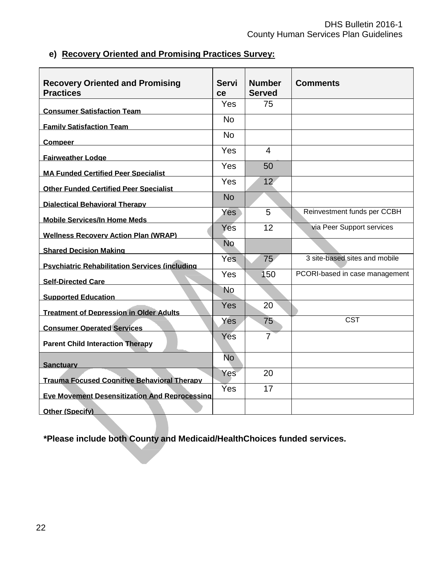# **e) Recovery Oriented and Promising Practices Survey:**

| <b>Recovery Oriented and Promising</b><br><b>Practices</b> | <b>Servi</b><br>ce | <b>Number</b><br><b>Served</b> | <b>Comments</b>                |
|------------------------------------------------------------|--------------------|--------------------------------|--------------------------------|
| <b>Consumer Satisfaction Team</b>                          | Yes                | 75                             |                                |
| <b>Family Satisfaction Team</b>                            | <b>No</b>          |                                |                                |
| Compeer                                                    | <b>No</b>          |                                |                                |
| <b>Fairweather Lodge</b>                                   | Yes                | 4                              |                                |
| <b>MA Funded Certified Peer Specialist</b>                 | Yes                | 50                             |                                |
| <b>Other Funded Certified Peer Specialist</b>              | Yes                | 12 <sup>2</sup>                |                                |
| <b>Dialectical Behavioral Therapy</b>                      | <b>No</b>          |                                |                                |
| <b>Mobile Services/In Home Meds</b>                        | Yes                | 5                              | Reinvestment funds per CCBH    |
| <b>Wellness Recovery Action Plan (WRAP)</b>                | Yes                | 12                             | via Peer Support services      |
| <b>Shared Decision Making</b>                              | <b>No</b>          |                                |                                |
| <b>Psychiatric Rehabilitation Services (including</b>      | <b>Yes</b>         | 75 <sub>1</sub>                | 3 site-based sites and mobile  |
| <b>Self-Directed Care</b>                                  | Yes                | 150                            | PCORI-based in case management |
| <b>Supported Education</b>                                 | No.                |                                |                                |
| <b>Treatment of Depression in Older Adults</b>             | <b>Yes</b>         | 20                             |                                |
| <b>Consumer Operated Services</b>                          | Yes                | 75                             | <b>CST</b>                     |
| <b>Parent Child Interaction Therapy</b>                    | Yes                | $\overline{7}$                 |                                |
| <b>Sanctuary</b>                                           | <b>No</b>          |                                |                                |
| <b>Trauma Focused Cognitive Behavioral Therapy</b>         | Yes                | 20                             |                                |
| <b>Eye Movement Desensitization And Reprocessing</b>       | <b>Yes</b>         | 17                             |                                |
| <b>Other (Specify)</b>                                     |                    |                                |                                |

**\*Please include both County and Medicaid/HealthChoices funded services.**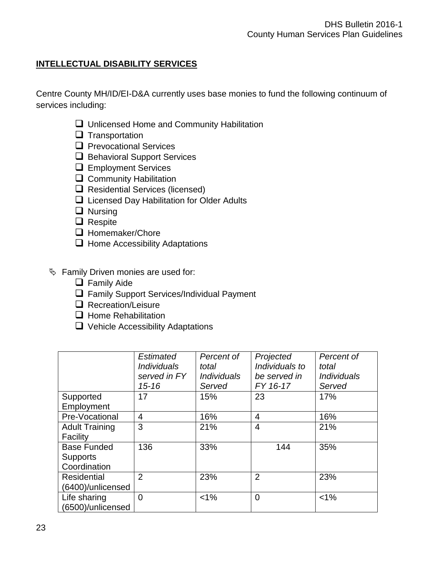# **INTELLECTUAL DISABILITY SERVICES**

Centre County MH/ID/EI-D&A currently uses base monies to fund the following continuum of services including:

- $\Box$  Unlicensed Home and Community Habilitation
- $\Box$  Transportation
- $\Box$  Prevocational Services
- Behavioral Support Services
- **Q** Employment Services
- $\Box$  Community Habilitation
- $\Box$  Residential Services (licensed)
- □ Licensed Day Habilitation for Older Adults
- **Q** Nursing
- **Q** Respite
- □ Homemaker/Chore
- $\Box$  Home Accessibility Adaptations
- $\%$  Family Driven monies are used for:
	- $\Box$  Family Aide
	- □ Family Support Services/Individual Payment
	- Recreation/Leisure
	- $\Box$  Home Rehabilitation
	- $\Box$  Vehicle Accessibility Adaptations

|                       | Estimated                 | Percent of         | Projected      | Percent of         |
|-----------------------|---------------------------|--------------------|----------------|--------------------|
|                       | <i><b>Individuals</b></i> | total              | Individuals to | total              |
|                       | served in FY              | <i>Individuals</i> | be served in   | <i>Individuals</i> |
|                       | $15 - 16$                 | Served             | FY 16-17       | Served             |
| Supported             | 17                        | 15%                | 23             | 17%                |
| Employment            |                           |                    |                |                    |
| Pre-Vocational        | $\overline{4}$            | 16%                | 4              | 16%                |
| <b>Adult Training</b> | 3                         | 21%                | $\overline{4}$ | 21%                |
| Facility              |                           |                    |                |                    |
| <b>Base Funded</b>    | 136                       | 33%                | 144            | 35%                |
| <b>Supports</b>       |                           |                    |                |                    |
| Coordination          |                           |                    |                |                    |
| <b>Residential</b>    | $\overline{2}$            | 23%                | $\overline{2}$ | 23%                |
| (6400)/unlicensed     |                           |                    |                |                    |
| Life sharing          | $\overline{0}$            | $< 1\%$            | $\overline{0}$ | $< 1\%$            |
| (6500)/unlicensed     |                           |                    |                |                    |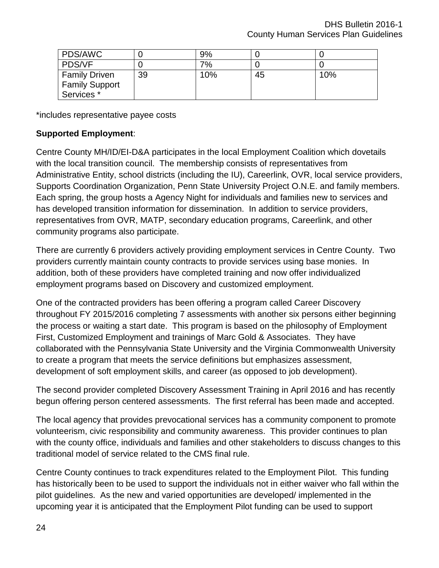| PDS/AWC               |    | 9%  |    |     |
|-----------------------|----|-----|----|-----|
| <b>PDS/VF</b>         |    | 7%  |    |     |
| <b>Family Driven</b>  | 39 | 10% | 45 | 10% |
| <b>Family Support</b> |    |     |    |     |
| Services <sup>*</sup> |    |     |    |     |

\*includes representative payee costs

### **Supported Employment**:

Centre County MH/ID/EI-D&A participates in the local Employment Coalition which dovetails with the local transition council. The membership consists of representatives from Administrative Entity, school districts (including the IU), Careerlink, OVR, local service providers, Supports Coordination Organization, Penn State University Project O.N.E. and family members. Each spring, the group hosts a Agency Night for individuals and families new to services and has developed transition information for dissemination. In addition to service providers, representatives from OVR, MATP, secondary education programs, Careerlink, and other community programs also participate.

There are currently 6 providers actively providing employment services in Centre County. Two providers currently maintain county contracts to provide services using base monies. In addition, both of these providers have completed training and now offer individualized employment programs based on Discovery and customized employment.

One of the contracted providers has been offering a program called Career Discovery throughout FY 2015/2016 completing 7 assessments with another six persons either beginning the process or waiting a start date. This program is based on the philosophy of Employment First, Customized Employment and trainings of Marc Gold & Associates. They have collaborated with the Pennsylvania State University and the Virginia Commonwealth University to create a program that meets the service definitions but emphasizes assessment, development of soft employment skills, and career (as opposed to job development).

The second provider completed Discovery Assessment Training in April 2016 and has recently begun offering person centered assessments. The first referral has been made and accepted.

The local agency that provides prevocational services has a community component to promote volunteerism, civic responsibility and community awareness. This provider continues to plan with the county office, individuals and families and other stakeholders to discuss changes to this traditional model of service related to the CMS final rule.

Centre County continues to track expenditures related to the Employment Pilot. This funding has historically been to be used to support the individuals not in either waiver who fall within the pilot guidelines. As the new and varied opportunities are developed/ implemented in the upcoming year it is anticipated that the Employment Pilot funding can be used to support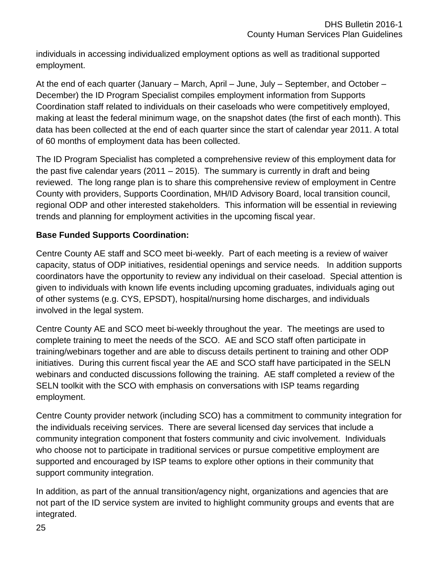individuals in accessing individualized employment options as well as traditional supported employment.

At the end of each quarter (January – March, April – June, July – September, and October – December) the ID Program Specialist compiles employment information from Supports Coordination staff related to individuals on their caseloads who were competitively employed, making at least the federal minimum wage, on the snapshot dates (the first of each month). This data has been collected at the end of each quarter since the start of calendar year 2011. A total of 60 months of employment data has been collected.

The ID Program Specialist has completed a comprehensive review of this employment data for the past five calendar years (2011 – 2015). The summary is currently in draft and being reviewed. The long range plan is to share this comprehensive review of employment in Centre County with providers, Supports Coordination, MH/ID Advisory Board, local transition council, regional ODP and other interested stakeholders. This information will be essential in reviewing trends and planning for employment activities in the upcoming fiscal year.

# **Base Funded Supports Coordination:**

Centre County AE staff and SCO meet bi-weekly. Part of each meeting is a review of waiver capacity, status of ODP initiatives, residential openings and service needs. In addition supports coordinators have the opportunity to review any individual on their caseload. Special attention is given to individuals with known life events including upcoming graduates, individuals aging out of other systems (e.g. CYS, EPSDT), hospital/nursing home discharges, and individuals involved in the legal system.

Centre County AE and SCO meet bi-weekly throughout the year. The meetings are used to complete training to meet the needs of the SCO. AE and SCO staff often participate in training/webinars together and are able to discuss details pertinent to training and other ODP initiatives. During this current fiscal year the AE and SCO staff have participated in the SELN webinars and conducted discussions following the training. AE staff completed a review of the SELN toolkit with the SCO with emphasis on conversations with ISP teams regarding employment.

Centre County provider network (including SCO) has a commitment to community integration for the individuals receiving services. There are several licensed day services that include a community integration component that fosters community and civic involvement. Individuals who choose not to participate in traditional services or pursue competitive employment are supported and encouraged by ISP teams to explore other options in their community that support community integration.

In addition, as part of the annual transition/agency night, organizations and agencies that are not part of the ID service system are invited to highlight community groups and events that are integrated.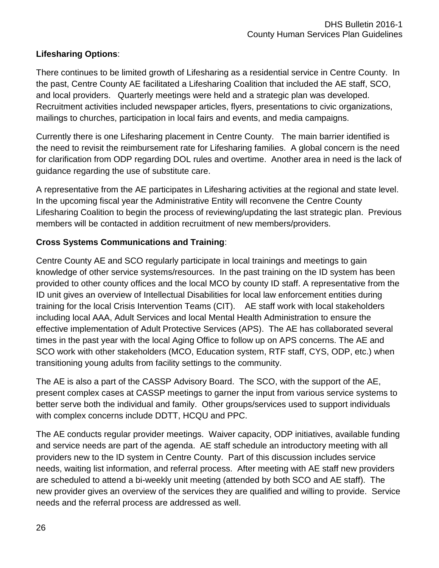# **Lifesharing Options**:

There continues to be limited growth of Lifesharing as a residential service in Centre County. In the past, Centre County AE facilitated a Lifesharing Coalition that included the AE staff, SCO, and local providers. Quarterly meetings were held and a strategic plan was developed. Recruitment activities included newspaper articles, flyers, presentations to civic organizations, mailings to churches, participation in local fairs and events, and media campaigns.

Currently there is one Lifesharing placement in Centre County. The main barrier identified is the need to revisit the reimbursement rate for Lifesharing families. A global concern is the need for clarification from ODP regarding DOL rules and overtime. Another area in need is the lack of guidance regarding the use of substitute care.

A representative from the AE participates in Lifesharing activities at the regional and state level. In the upcoming fiscal year the Administrative Entity will reconvene the Centre County Lifesharing Coalition to begin the process of reviewing/updating the last strategic plan. Previous members will be contacted in addition recruitment of new members/providers.

# **Cross Systems Communications and Training**:

Centre County AE and SCO regularly participate in local trainings and meetings to gain knowledge of other service systems/resources. In the past training on the ID system has been provided to other county offices and the local MCO by county ID staff. A representative from the ID unit gives an overview of Intellectual Disabilities for local law enforcement entities during training for the local Crisis Intervention Teams (CIT). AE staff work with local stakeholders including local AAA, Adult Services and local Mental Health Administration to ensure the effective implementation of Adult Protective Services (APS). The AE has collaborated several times in the past year with the local Aging Office to follow up on APS concerns. The AE and SCO work with other stakeholders (MCO, Education system, RTF staff, CYS, ODP, etc.) when transitioning young adults from facility settings to the community.

The AE is also a part of the CASSP Advisory Board. The SCO, with the support of the AE, present complex cases at CASSP meetings to garner the input from various service systems to better serve both the individual and family. Other groups/services used to support individuals with complex concerns include DDTT, HCQU and PPC.

The AE conducts regular provider meetings. Waiver capacity, ODP initiatives, available funding and service needs are part of the agenda. AE staff schedule an introductory meeting with all providers new to the ID system in Centre County. Part of this discussion includes service needs, waiting list information, and referral process. After meeting with AE staff new providers are scheduled to attend a bi-weekly unit meeting (attended by both SCO and AE staff). The new provider gives an overview of the services they are qualified and willing to provide. Service needs and the referral process are addressed as well.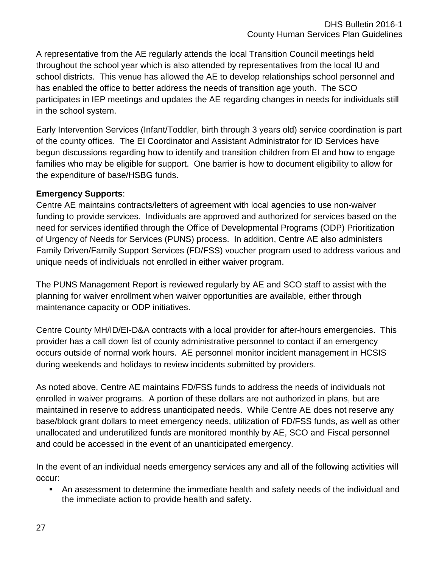A representative from the AE regularly attends the local Transition Council meetings held throughout the school year which is also attended by representatives from the local IU and school districts. This venue has allowed the AE to develop relationships school personnel and has enabled the office to better address the needs of transition age youth. The SCO participates in IEP meetings and updates the AE regarding changes in needs for individuals still in the school system.

Early Intervention Services (Infant/Toddler, birth through 3 years old) service coordination is part of the county offices. The EI Coordinator and Assistant Administrator for ID Services have begun discussions regarding how to identify and transition children from EI and how to engage families who may be eligible for support. One barrier is how to document eligibility to allow for the expenditure of base/HSBG funds.

# **Emergency Supports**:

Centre AE maintains contracts/letters of agreement with local agencies to use non-waiver funding to provide services. Individuals are approved and authorized for services based on the need for services identified through the Office of Developmental Programs (ODP) Prioritization of Urgency of Needs for Services (PUNS) process. In addition, Centre AE also administers Family Driven/Family Support Services (FD/FSS) voucher program used to address various and unique needs of individuals not enrolled in either waiver program.

The PUNS Management Report is reviewed regularly by AE and SCO staff to assist with the planning for waiver enrollment when waiver opportunities are available, either through maintenance capacity or ODP initiatives.

Centre County MH/ID/EI-D&A contracts with a local provider for after-hours emergencies. This provider has a call down list of county administrative personnel to contact if an emergency occurs outside of normal work hours. AE personnel monitor incident management in HCSIS during weekends and holidays to review incidents submitted by providers.

As noted above, Centre AE maintains FD/FSS funds to address the needs of individuals not enrolled in waiver programs. A portion of these dollars are not authorized in plans, but are maintained in reserve to address unanticipated needs. While Centre AE does not reserve any base/block grant dollars to meet emergency needs, utilization of FD/FSS funds, as well as other unallocated and underutilized funds are monitored monthly by AE, SCO and Fiscal personnel and could be accessed in the event of an unanticipated emergency.

In the event of an individual needs emergency services any and all of the following activities will occur:

 An assessment to determine the immediate health and safety needs of the individual and the immediate action to provide health and safety.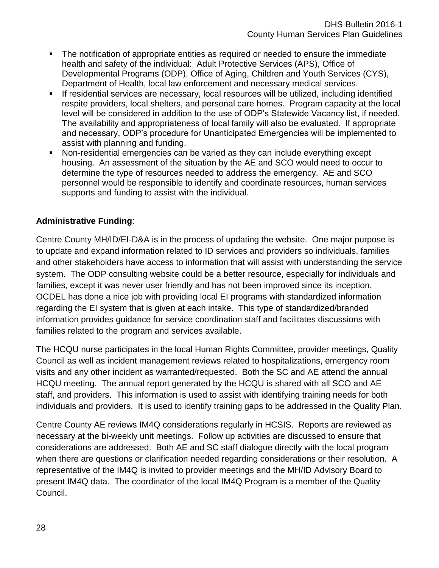- The notification of appropriate entities as required or needed to ensure the immediate health and safety of the individual: Adult Protective Services (APS), Office of Developmental Programs (ODP), Office of Aging, Children and Youth Services (CYS), Department of Health, local law enforcement and necessary medical services.
- If residential services are necessary, local resources will be utilized, including identified respite providers, local shelters, and personal care homes. Program capacity at the local level will be considered in addition to the use of ODP's Statewide Vacancy list, if needed. The availability and appropriateness of local family will also be evaluated. If appropriate and necessary, ODP's procedure for Unanticipated Emergencies will be implemented to assist with planning and funding.
- Non-residential emergencies can be varied as they can include everything except housing. An assessment of the situation by the AE and SCO would need to occur to determine the type of resources needed to address the emergency. AE and SCO personnel would be responsible to identify and coordinate resources, human services supports and funding to assist with the individual.

### **Administrative Funding**:

Centre County MH/ID/EI-D&A is in the process of updating the website. One major purpose is to update and expand information related to ID services and providers so individuals, families and other stakeholders have access to information that will assist with understanding the service system. The ODP consulting website could be a better resource, especially for individuals and families, except it was never user friendly and has not been improved since its inception. OCDEL has done a nice job with providing local EI programs with standardized information regarding the EI system that is given at each intake. This type of standardized/branded information provides guidance for service coordination staff and facilitates discussions with families related to the program and services available.

The HCQU nurse participates in the local Human Rights Committee, provider meetings, Quality Council as well as incident management reviews related to hospitalizations, emergency room visits and any other incident as warranted/requested. Both the SC and AE attend the annual HCQU meeting. The annual report generated by the HCQU is shared with all SCO and AE staff, and providers. This information is used to assist with identifying training needs for both individuals and providers. It is used to identify training gaps to be addressed in the Quality Plan.

Centre County AE reviews IM4Q considerations regularly in HCSIS. Reports are reviewed as necessary at the bi-weekly unit meetings. Follow up activities are discussed to ensure that considerations are addressed. Both AE and SC staff dialogue directly with the local program when there are questions or clarification needed regarding considerations or their resolution. A representative of the IM4Q is invited to provider meetings and the MH/ID Advisory Board to present IM4Q data. The coordinator of the local IM4Q Program is a member of the Quality Council.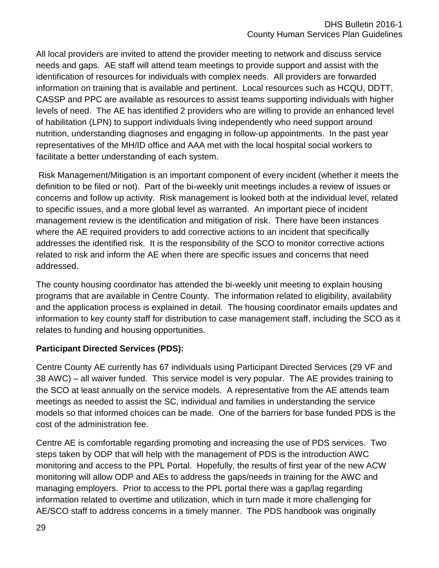All local providers are invited to attend the provider meeting to network and discuss service needs and gaps. AE staff will attend team meetings to provide support and assist with the identification of resources for individuals with complex needs. All providers are forwarded information on training that is available and pertinent. Local resources such as HCQU, DDTT, CASSP and PPC are available as resources to assist teams supporting individuals with higher levels of need. The AE has identified 2 providers who are willing to provide an enhanced level of habilitation (LPN) to support individuals living independently who need support around nutrition, understanding diagnoses and engaging in follow-up appointments. In the past year representatives of the MH/ID office and AAA met with the local hospital social workers to facilitate a better understanding of each system.

Risk Management/Mitigation is an important component of every incident (whether it meets the definition to be filed or not). Part of the bi-weekly unit meetings includes a review of issues or concerns and follow up activity. Risk management is looked both at the individual level, related to specific issues, and a more global level as warranted. An important piece of incident management review is the identification and mitigation of risk. There have been instances where the AE required providers to add corrective actions to an incident that specifically addresses the identified risk. It is the responsibility of the SCO to monitor corrective actions related to risk and inform the AE when there are specific issues and concerns that need addressed.

The county housing coordinator has attended the bi-weekly unit meeting to explain housing programs that are available in Centre County. The information related to eligibility, availability and the application process is explained in detail. The housing coordinator emails updates and information to key county staff for distribution to case management staff, including the SCO as it relates to funding and housing opportunities.

# **Participant Directed Services (PDS):**

Centre County AE currently has 67 individuals using Participant Directed Services (29 VF and 38 AWC) – all waiver funded. This service model is very popular. The AE provides training to the SCO at least annually on the service models. A representative from the AE attends team meetings as needed to assist the SC, individual and families in understanding the service models so that informed choices can be made. One of the barriers for base funded PDS is the cost of the administration fee.

Centre AE is comfortable regarding promoting and increasing the use of PDS services. Two steps taken by ODP that will help with the management of PDS is the introduction AWC monitoring and access to the PPL Portal. Hopefully, the results of first year of the new ACW monitoring will allow ODP and AEs to address the gaps/needs in training for the AWC and managing employers. Prior to access to the PPL portal there was a gap/lag regarding information related to overtime and utilization, which in turn made it more challenging for AE/SCO staff to address concerns in a timely manner. The PDS handbook was originally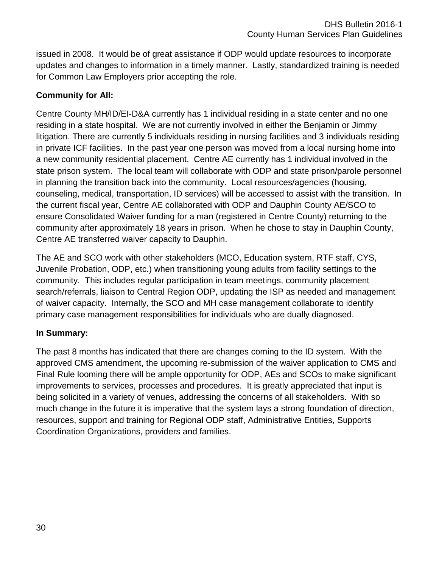issued in 2008. It would be of great assistance if ODP would update resources to incorporate updates and changes to information in a timely manner. Lastly, standardized training is needed for Common Law Employers prior accepting the role.

## **Community for All:**

Centre County MH/ID/EI-D&A currently has 1 individual residing in a state center and no one residing in a state hospital. We are not currently involved in either the Benjamin or Jimmy litigation. There are currently 5 individuals residing in nursing facilities and 3 individuals residing in private ICF facilities. In the past year one person was moved from a local nursing home into a new community residential placement. Centre AE currently has 1 individual involved in the state prison system. The local team will collaborate with ODP and state prison/parole personnel in planning the transition back into the community. Local resources/agencies (housing, counseling, medical, transportation, ID services) will be accessed to assist with the transition. In the current fiscal year, Centre AE collaborated with ODP and Dauphin County AE/SCO to ensure Consolidated Waiver funding for a man (registered in Centre County) returning to the community after approximately 18 years in prison. When he chose to stay in Dauphin County, Centre AE transferred waiver capacity to Dauphin.

The AE and SCO work with other stakeholders (MCO, Education system, RTF staff, CYS, Juvenile Probation, ODP, etc.) when transitioning young adults from facility settings to the community. This includes regular participation in team meetings, community placement search/referrals, liaison to Central Region ODP, updating the ISP as needed and management of waiver capacity. Internally, the SCO and MH case management collaborate to identify primary case management responsibilities for individuals who are dually diagnosed.

### **In Summary:**

The past 8 months has indicated that there are changes coming to the ID system. With the approved CMS amendment, the upcoming re-submission of the waiver application to CMS and Final Rule looming there will be ample opportunity for ODP, AEs and SCOs to make significant improvements to services, processes and procedures. It is greatly appreciated that input is being solicited in a variety of venues, addressing the concerns of all stakeholders. With so much change in the future it is imperative that the system lays a strong foundation of direction, resources, support and training for Regional ODP staff, Administrative Entities, Supports Coordination Organizations, providers and families.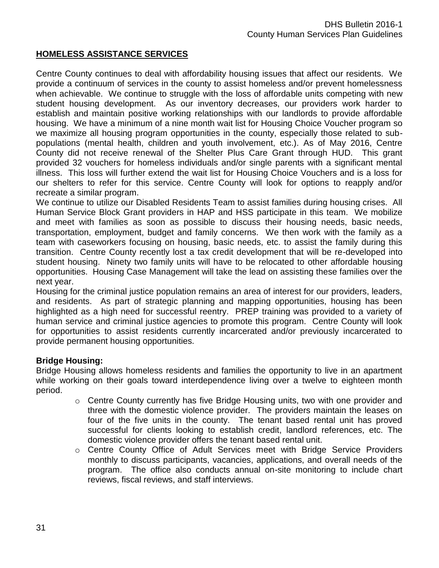#### **HOMELESS ASSISTANCE SERVICES**

Centre County continues to deal with affordability housing issues that affect our residents. We provide a continuum of services in the county to assist homeless and/or prevent homelessness when achievable. We continue to struggle with the loss of affordable units competing with new student housing development. As our inventory decreases, our providers work harder to establish and maintain positive working relationships with our landlords to provide affordable housing. We have a minimum of a nine month wait list for Housing Choice Voucher program so we maximize all housing program opportunities in the county, especially those related to subpopulations (mental health, children and youth involvement, etc.). As of May 2016, Centre County did not receive renewal of the Shelter Plus Care Grant through HUD. This grant provided 32 vouchers for homeless individuals and/or single parents with a significant mental illness. This loss will further extend the wait list for Housing Choice Vouchers and is a loss for our shelters to refer for this service. Centre County will look for options to reapply and/or recreate a similar program.

We continue to utilize our Disabled Residents Team to assist families during housing crises. All Human Service Block Grant providers in HAP and HSS participate in this team. We mobilize and meet with families as soon as possible to discuss their housing needs, basic needs, transportation, employment, budget and family concerns. We then work with the family as a team with caseworkers focusing on housing, basic needs, etc. to assist the family during this transition. Centre County recently lost a tax credit development that will be re-developed into student housing. Ninety two family units will have to be relocated to other affordable housing opportunities. Housing Case Management will take the lead on assisting these families over the next year.

Housing for the criminal justice population remains an area of interest for our providers, leaders, and residents. As part of strategic planning and mapping opportunities, housing has been highlighted as a high need for successful reentry. PREP training was provided to a variety of human service and criminal justice agencies to promote this program. Centre County will look for opportunities to assist residents currently incarcerated and/or previously incarcerated to provide permanent housing opportunities.

#### **Bridge Housing:**

Bridge Housing allows homeless residents and families the opportunity to live in an apartment while working on their goals toward interdependence living over a twelve to eighteen month period.

- $\circ$  Centre County currently has five Bridge Housing units, two with one provider and three with the domestic violence provider. The providers maintain the leases on four of the five units in the county. The tenant based rental unit has proved successful for clients looking to establish credit, landlord references, etc. The domestic violence provider offers the tenant based rental unit.
- o Centre County Office of Adult Services meet with Bridge Service Providers monthly to discuss participants, vacancies, applications, and overall needs of the program. The office also conducts annual on-site monitoring to include chart reviews, fiscal reviews, and staff interviews.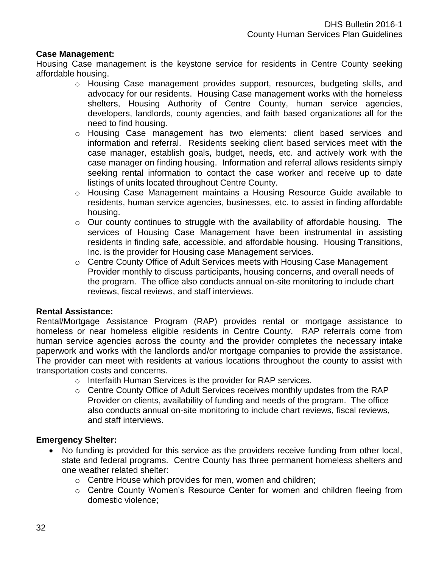#### **Case Management:**

Housing Case management is the keystone service for residents in Centre County seeking affordable housing.

- o Housing Case management provides support, resources, budgeting skills, and advocacy for our residents. Housing Case management works with the homeless shelters, Housing Authority of Centre County, human service agencies, developers, landlords, county agencies, and faith based organizations all for the need to find housing.
- o Housing Case management has two elements: client based services and information and referral. Residents seeking client based services meet with the case manager, establish goals, budget, needs, etc. and actively work with the case manager on finding housing. Information and referral allows residents simply seeking rental information to contact the case worker and receive up to date listings of units located throughout Centre County.
- o Housing Case Management maintains a Housing Resource Guide available to residents, human service agencies, businesses, etc. to assist in finding affordable housing.
- $\circ$  Our county continues to struggle with the availability of affordable housing. The services of Housing Case Management have been instrumental in assisting residents in finding safe, accessible, and affordable housing. Housing Transitions, Inc. is the provider for Housing case Management services.
- o Centre County Office of Adult Services meets with Housing Case Management Provider monthly to discuss participants, housing concerns, and overall needs of the program. The office also conducts annual on-site monitoring to include chart reviews, fiscal reviews, and staff interviews.

#### **Rental Assistance:**

Rental/Mortgage Assistance Program (RAP) provides rental or mortgage assistance to homeless or near homeless eligible residents in Centre County. RAP referrals come from human service agencies across the county and the provider completes the necessary intake paperwork and works with the landlords and/or mortgage companies to provide the assistance. The provider can meet with residents at various locations throughout the county to assist with transportation costs and concerns.

- o Interfaith Human Services is the provider for RAP services.
- o Centre County Office of Adult Services receives monthly updates from the RAP Provider on clients, availability of funding and needs of the program. The office also conducts annual on-site monitoring to include chart reviews, fiscal reviews, and staff interviews.

### **Emergency Shelter:**

- No funding is provided for this service as the providers receive funding from other local, state and federal programs. Centre County has three permanent homeless shelters and one weather related shelter:
	- o Centre House which provides for men, women and children;
	- o Centre County Women's Resource Center for women and children fleeing from domestic violence;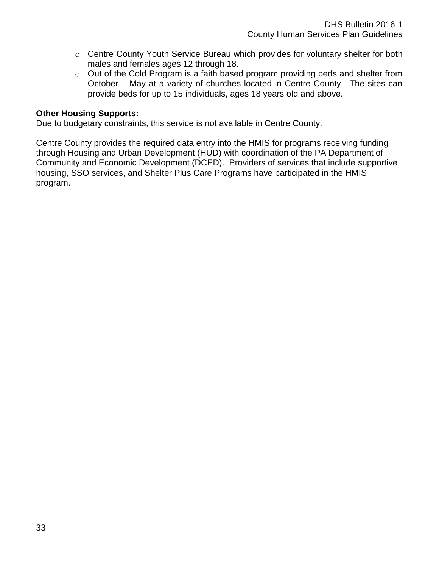- o Centre County Youth Service Bureau which provides for voluntary shelter for both males and females ages 12 through 18.
- o Out of the Cold Program is a faith based program providing beds and shelter from October – May at a variety of churches located in Centre County. The sites can provide beds for up to 15 individuals, ages 18 years old and above.

#### **Other Housing Supports:**

Due to budgetary constraints, this service is not available in Centre County.

Centre County provides the required data entry into the HMIS for programs receiving funding through Housing and Urban Development (HUD) with coordination of the PA Department of Community and Economic Development (DCED). Providers of services that include supportive housing, SSO services, and Shelter Plus Care Programs have participated in the HMIS program.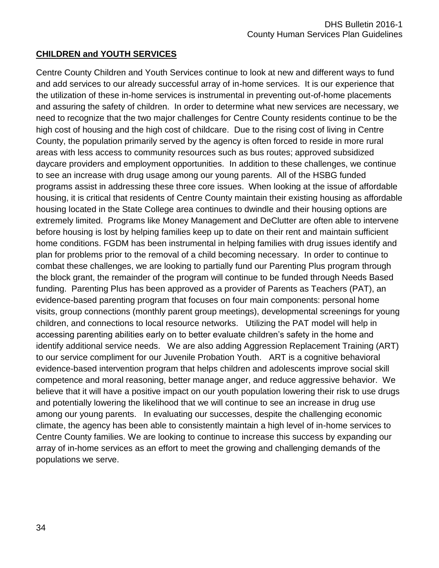### **CHILDREN and YOUTH SERVICES**

Centre County Children and Youth Services continue to look at new and different ways to fund and add services to our already successful array of in-home services. It is our experience that the utilization of these in-home services is instrumental in preventing out-of-home placements and assuring the safety of children. In order to determine what new services are necessary, we need to recognize that the two major challenges for Centre County residents continue to be the high cost of housing and the high cost of childcare. Due to the rising cost of living in Centre County, the population primarily served by the agency is often forced to reside in more rural areas with less access to community resources such as bus routes; approved subsidized daycare providers and employment opportunities. In addition to these challenges, we continue to see an increase with drug usage among our young parents. All of the HSBG funded programs assist in addressing these three core issues. When looking at the issue of affordable housing, it is critical that residents of Centre County maintain their existing housing as affordable housing located in the State College area continues to dwindle and their housing options are extremely limited. Programs like Money Management and DeClutter are often able to intervene before housing is lost by helping families keep up to date on their rent and maintain sufficient home conditions. FGDM has been instrumental in helping families with drug issues identify and plan for problems prior to the removal of a child becoming necessary. In order to continue to combat these challenges, we are looking to partially fund our Parenting Plus program through the block grant, the remainder of the program will continue to be funded through Needs Based funding. Parenting Plus has been approved as a provider of Parents as Teachers (PAT), an evidence-based parenting program that focuses on four main components: personal home visits, group connections (monthly parent group meetings), developmental screenings for young children, and connections to local resource networks. Utilizing the PAT model will help in accessing parenting abilities early on to better evaluate children's safety in the home and identify additional service needs. We are also adding Aggression Replacement Training (ART) to our service compliment for our Juvenile Probation Youth. ART is a cognitive behavioral evidence-based intervention program that helps children and adolescents improve social skill competence and moral reasoning, better manage anger, and reduce aggressive behavior. We believe that it will have a positive impact on our youth population lowering their risk to use drugs and potentially lowering the likelihood that we will continue to see an increase in drug use among our young parents. In evaluating our successes, despite the challenging economic climate, the agency has been able to consistently maintain a high level of in-home services to Centre County families. We are looking to continue to increase this success by expanding our array of in-home services as an effort to meet the growing and challenging demands of the populations we serve.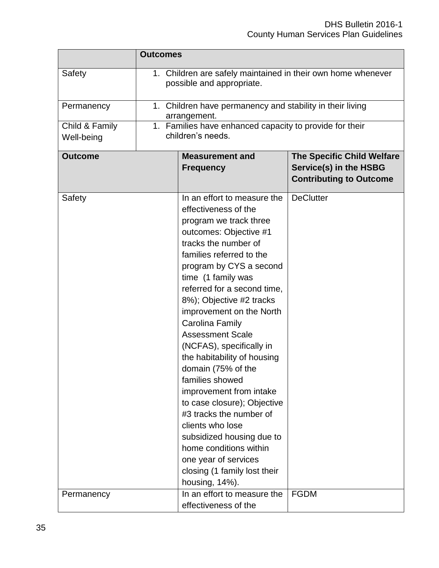|                              | <b>Outcomes</b>                                                                           |                                                                                                                                                                                                                                                                                                                                                                                                                                                                                                                                                                                                                                                                                                 |                                                                                               |  |  |  |
|------------------------------|-------------------------------------------------------------------------------------------|-------------------------------------------------------------------------------------------------------------------------------------------------------------------------------------------------------------------------------------------------------------------------------------------------------------------------------------------------------------------------------------------------------------------------------------------------------------------------------------------------------------------------------------------------------------------------------------------------------------------------------------------------------------------------------------------------|-----------------------------------------------------------------------------------------------|--|--|--|
| Safety                       | 1. Children are safely maintained in their own home whenever<br>possible and appropriate. |                                                                                                                                                                                                                                                                                                                                                                                                                                                                                                                                                                                                                                                                                                 |                                                                                               |  |  |  |
| Permanency                   |                                                                                           | 1. Children have permanency and stability in their living<br>arrangement.                                                                                                                                                                                                                                                                                                                                                                                                                                                                                                                                                                                                                       |                                                                                               |  |  |  |
| Child & Family<br>Well-being |                                                                                           | 1. Families have enhanced capacity to provide for their<br>children's needs.                                                                                                                                                                                                                                                                                                                                                                                                                                                                                                                                                                                                                    |                                                                                               |  |  |  |
| <b>Outcome</b>               |                                                                                           | <b>Measurement and</b><br><b>Frequency</b>                                                                                                                                                                                                                                                                                                                                                                                                                                                                                                                                                                                                                                                      | <b>The Specific Child Welfare</b><br>Service(s) in the HSBG<br><b>Contributing to Outcome</b> |  |  |  |
| Safety                       |                                                                                           | In an effort to measure the<br>effectiveness of the<br>program we track three<br>outcomes: Objective #1<br>tracks the number of<br>families referred to the<br>program by CYS a second<br>time (1 family was<br>referred for a second time,<br>8%); Objective #2 tracks<br>improvement on the North<br>Carolina Family<br><b>Assessment Scale</b><br>(NCFAS), specifically in<br>the habitability of housing<br>domain (75% of the<br>families showed<br>improvement from intake<br>to case closure); Objective<br>#3 tracks the number of<br>clients who lose<br>subsidized housing due to<br>home conditions within<br>one year of services<br>closing (1 family lost their<br>housing, 14%). | <b>DeClutter</b>                                                                              |  |  |  |
| Permanency                   |                                                                                           | In an effort to measure the<br>effectiveness of the                                                                                                                                                                                                                                                                                                                                                                                                                                                                                                                                                                                                                                             | <b>FGDM</b>                                                                                   |  |  |  |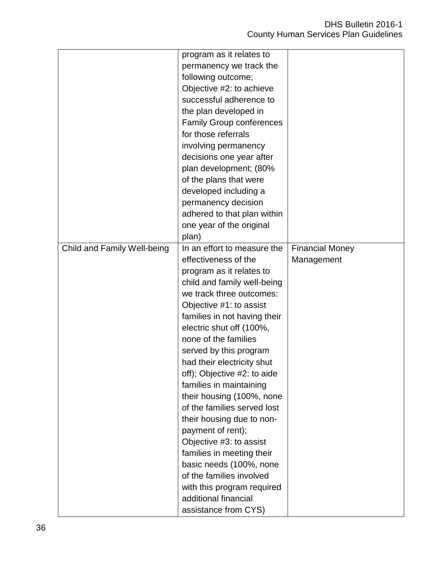|                             | program as it relates to        |                        |
|-----------------------------|---------------------------------|------------------------|
|                             | permanency we track the         |                        |
|                             | following outcome;              |                        |
|                             | Objective #2: to achieve        |                        |
|                             | successful adherence to         |                        |
|                             | the plan developed in           |                        |
|                             | <b>Family Group conferences</b> |                        |
|                             | for those referrals             |                        |
|                             | involving permanency            |                        |
|                             | decisions one year after        |                        |
|                             | plan development; (80%          |                        |
|                             | of the plans that were          |                        |
|                             | developed including a           |                        |
|                             | permanency decision             |                        |
|                             | adhered to that plan within     |                        |
|                             | one year of the original        |                        |
|                             | plan)                           |                        |
| Child and Family Well-being | In an effort to measure the     | <b>Financial Money</b> |
|                             | effectiveness of the            | Management             |
|                             | program as it relates to        |                        |
|                             | child and family well-being     |                        |
|                             | we track three outcomes:        |                        |
|                             | Objective #1: to assist         |                        |
|                             | families in not having their    |                        |
|                             | electric shut off (100%,        |                        |
|                             | none of the families            |                        |
|                             | served by this program          |                        |
|                             | had their electricity shut      |                        |
|                             |                                 |                        |
|                             | off); Objective #2: to aide     |                        |
|                             | families in maintaining         |                        |
|                             | their housing (100%, none       |                        |
|                             | of the families served lost     |                        |
|                             | their housing due to non-       |                        |
|                             | payment of rent);               |                        |
|                             | Objective #3: to assist         |                        |
|                             | families in meeting their       |                        |
|                             | basic needs (100%, none         |                        |
|                             | of the families involved        |                        |
|                             | with this program required      |                        |
|                             | additional financial            |                        |
|                             | assistance from CYS)            |                        |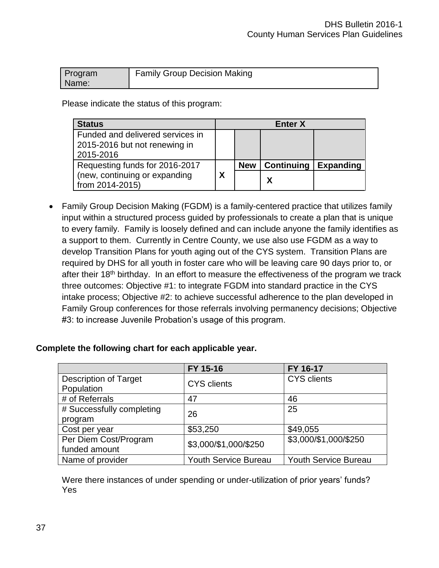| Program | <b>Family Group Decision Making</b> |
|---------|-------------------------------------|
| Name:   |                                     |

Please indicate the status of this program:

| <b>Status</b>                                                     |   |            | <b>Enter X</b>    |                  |
|-------------------------------------------------------------------|---|------------|-------------------|------------------|
| Funded and delivered services in<br>2015-2016 but not renewing in |   |            |                   |                  |
| 2015-2016                                                         |   |            |                   |                  |
| Requesting funds for 2016-2017                                    |   | <b>New</b> | <b>Continuing</b> | <b>Expanding</b> |
| (new, continuing or expanding<br>from 2014-2015)                  | Χ |            | χ                 |                  |

• Family Group Decision Making (FGDM) is a family-centered practice that utilizes family input within a structured process guided by professionals to create a plan that is unique to every family. Family is loosely defined and can include anyone the family identifies as a support to them. Currently in Centre County, we use also use FGDM as a way to develop Transition Plans for youth aging out of the CYS system. Transition Plans are required by DHS for all youth in foster care who will be leaving care 90 days prior to, or after their 18<sup>th</sup> birthday. In an effort to measure the effectiveness of the program we track three outcomes: Objective #1: to integrate FGDM into standard practice in the CYS intake process; Objective #2: to achieve successful adherence to the plan developed in Family Group conferences for those referrals involving permanency decisions; Objective #3: to increase Juvenile Probation's usage of this program.

#### **Complete the following chart for each applicable year.**

|                              | FY 15-16                    | FY 16-17                    |
|------------------------------|-----------------------------|-----------------------------|
| <b>Description of Target</b> | <b>CYS</b> clients          | <b>CYS</b> clients          |
| Population                   |                             |                             |
| # of Referrals               | 47                          | 46                          |
| # Successfully completing    | 26                          | 25                          |
| program                      |                             |                             |
| Cost per year                | \$53,250                    | \$49,055                    |
| Per Diem Cost/Program        | \$3,000/\$1,000/\$250       | \$3,000/\$1,000/\$250       |
| funded amount                |                             |                             |
| Name of provider             | <b>Youth Service Bureau</b> | <b>Youth Service Bureau</b> |

Were there instances of under spending or under-utilization of prior years' funds? Yes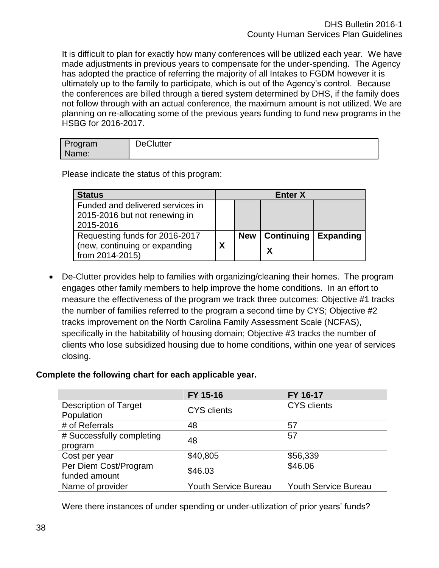It is difficult to plan for exactly how many conferences will be utilized each year. We have made adjustments in previous years to compensate for the under-spending. The Agency has adopted the practice of referring the majority of all Intakes to FGDM however it is ultimately up to the family to participate, which is out of the Agency's control. Because the conferences are billed through a tiered system determined by DHS, if the family does not follow through with an actual conference, the maximum amount is not utilized. We are planning on re-allocating some of the previous years funding to fund new programs in the HSBG for 2016-2017.

| <b>DeClutter</b><br>Program<br>Name: |  |
|--------------------------------------|--|
|--------------------------------------|--|

Please indicate the status of this program:

| <b>Status</b>                                                                  |   |            | <b>Enter X</b> |                  |
|--------------------------------------------------------------------------------|---|------------|----------------|------------------|
| Funded and delivered services in<br>2015-2016 but not renewing in<br>2015-2016 |   |            |                |                  |
| Requesting funds for 2016-2017                                                 |   | <b>New</b> | Continuing     | <b>Expanding</b> |
| (new, continuing or expanding<br>from 2014-2015)                               | χ |            |                |                  |

 De-Clutter provides help to families with organizing/cleaning their homes. The program engages other family members to help improve the home conditions. In an effort to measure the effectiveness of the program we track three outcomes: Objective #1 tracks the number of families referred to the program a second time by CYS; Objective #2 tracks improvement on the North Carolina Family Assessment Scale (NCFAS), specifically in the habitability of housing domain; Objective #3 tracks the number of clients who lose subsidized housing due to home conditions, within one year of services closing.

### **Complete the following chart for each applicable year.**

|                              | FY 15-16                    | FY 16-17                    |  |
|------------------------------|-----------------------------|-----------------------------|--|
| <b>Description of Target</b> | <b>CYS</b> clients          | <b>CYS</b> clients          |  |
| Population                   |                             |                             |  |
| # of Referrals               | 48                          | 57                          |  |
| # Successfully completing    | 48                          | 57                          |  |
| program                      |                             |                             |  |
| Cost per year                | \$40,805                    | \$56,339                    |  |
| Per Diem Cost/Program        | \$46.03                     | \$46.06                     |  |
| funded amount                |                             |                             |  |
| Name of provider             | <b>Youth Service Bureau</b> | <b>Youth Service Bureau</b> |  |

Were there instances of under spending or under-utilization of prior years' funds?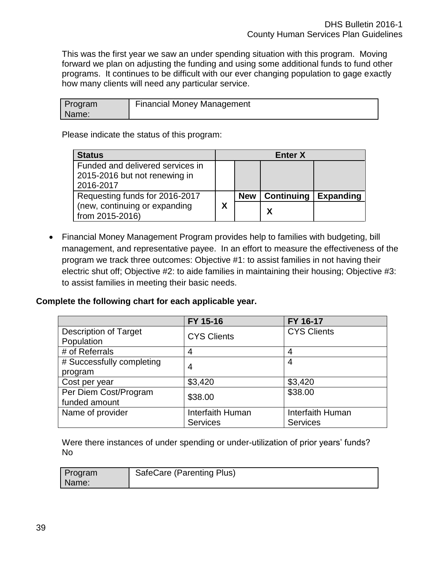This was the first year we saw an under spending situation with this program. Moving forward we plan on adjusting the funding and using some additional funds to fund other programs. It continues to be difficult with our ever changing population to gage exactly how many clients will need any particular service.

| Program | <b>Financial Money Management</b> |
|---------|-----------------------------------|
| Name:   |                                   |

Please indicate the status of this program:

| <b>Status</b>                    | <b>Enter X</b> |            |                   |                  |
|----------------------------------|----------------|------------|-------------------|------------------|
| Funded and delivered services in |                |            |                   |                  |
| 2015-2016 but not renewing in    |                |            |                   |                  |
| 2016-2017                        |                |            |                   |                  |
| Requesting funds for 2016-2017   |                | <b>New</b> | <b>Continuing</b> | <b>Expanding</b> |
| (new, continuing or expanding    | X              |            | Χ                 |                  |
| from 2015-2016)                  |                |            |                   |                  |

 Financial Money Management Program provides help to families with budgeting, bill management, and representative payee. In an effort to measure the effectiveness of the program we track three outcomes: Objective #1: to assist families in not having their electric shut off; Objective #2: to aide families in maintaining their housing; Objective #3: to assist families in meeting their basic needs.

#### **Complete the following chart for each applicable year.**

|                              | FY 15-16           | FY 16-17           |
|------------------------------|--------------------|--------------------|
| <b>Description of Target</b> | <b>CYS Clients</b> | <b>CYS Clients</b> |
| Population                   |                    |                    |
| # of Referrals               | 4                  | 4                  |
| # Successfully completing    | 4                  | 4                  |
| program                      |                    |                    |
| Cost per year                | \$3,420            | \$3,420            |
| Per Diem Cost/Program        | \$38.00            | \$38.00            |
| funded amount                |                    |                    |
| Name of provider             | Interfaith Human   | Interfaith Human   |
|                              | <b>Services</b>    | <b>Services</b>    |

Were there instances of under spending or under-utilization of prior years' funds? No

| Program | SafeCare (Parenting Plus) |
|---------|---------------------------|
| Name:   |                           |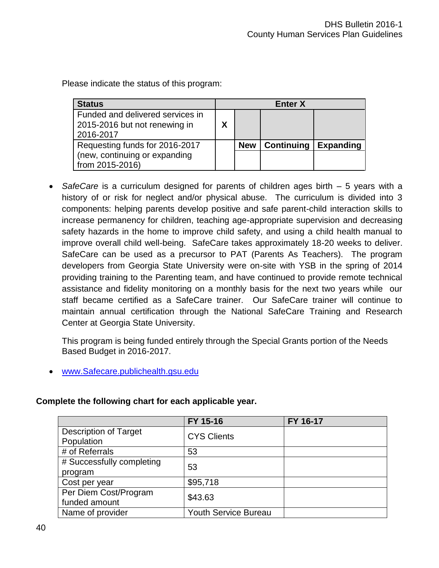Please indicate the status of this program:

| <b>Status</b>                                                     | <b>Enter X</b> |            |                   |                  |
|-------------------------------------------------------------------|----------------|------------|-------------------|------------------|
| Funded and delivered services in<br>2015-2016 but not renewing in | X              |            |                   |                  |
| 2016-2017                                                         |                |            |                   |                  |
| Requesting funds for 2016-2017                                    |                | <b>New</b> | <b>Continuing</b> | <b>Expanding</b> |
| (new, continuing or expanding                                     |                |            |                   |                  |
| from 2015-2016)                                                   |                |            |                   |                  |

• SafeCare is a curriculum designed for parents of children ages birth – 5 years with a history of or risk for neglect and/or physical abuse. The curriculum is divided into 3 components: helping parents develop positive and safe parent-child interaction skills to increase permanency for children, teaching age-appropriate supervision and decreasing safety hazards in the home to improve child safety, and using a child health manual to improve overall child well-being. SafeCare takes approximately 18-20 weeks to deliver. SafeCare can be used as a precursor to PAT (Parents As Teachers). The program developers from Georgia State University were on-site with YSB in the spring of 2014 providing training to the Parenting team, and have continued to provide remote technical assistance and fidelity monitoring on a monthly basis for the next two years while our staff became certified as a SafeCare trainer. Our SafeCare trainer will continue to maintain annual certification through the National SafeCare Training and Research Center at Georgia State University.

This program is being funded entirely through the Special Grants portion of the Needs Based Budget in 2016-2017.

[www.Safecare.publichealth.gsu.edu](http://www.safecare.publichealth.gsu.edu/)

#### **Complete the following chart for each applicable year.**

|                              | FY 15-16                    | FY 16-17 |
|------------------------------|-----------------------------|----------|
| <b>Description of Target</b> | <b>CYS Clients</b>          |          |
| Population                   |                             |          |
| # of Referrals               | 53                          |          |
| # Successfully completing    | 53                          |          |
| program                      |                             |          |
| Cost per year                | \$95,718                    |          |
| Per Diem Cost/Program        | \$43.63                     |          |
| funded amount                |                             |          |
| Name of provider             | <b>Youth Service Bureau</b> |          |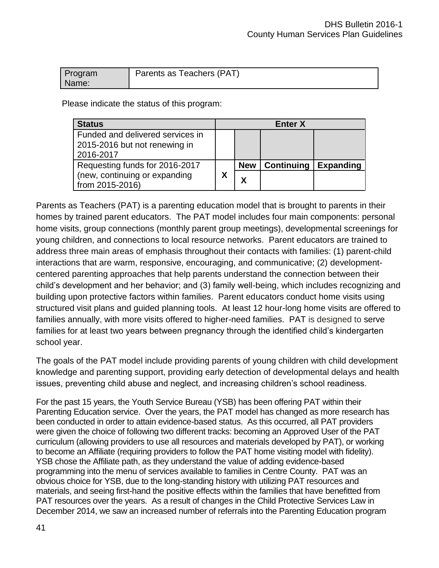| Program | Parents as Teachers (PAT) |
|---------|---------------------------|
| Name:   |                           |

Please indicate the status of this program:

| <b>Status</b>                    |   | <b>Enter X</b> |                   |                  |
|----------------------------------|---|----------------|-------------------|------------------|
| Funded and delivered services in |   |                |                   |                  |
| 2015-2016 but not renewing in    |   |                |                   |                  |
| 2016-2017                        |   |                |                   |                  |
| Requesting funds for 2016-2017   |   | <b>New</b>     | <b>Continuing</b> | <b>Expanding</b> |
| (new, continuing or expanding    | Χ | Y              |                   |                  |
| from 2015-2016)                  |   |                |                   |                  |

Parents as Teachers (PAT) is a parenting education model that is brought to parents in their homes by trained parent educators. The PAT model includes four main components: personal home visits, group connections (monthly parent group meetings), developmental screenings for young children, and connections to local resource networks. Parent educators are trained to address three main areas of emphasis throughout their contacts with families: (1) parent-child interactions that are warm, responsive, encouraging, and communicative; (2) developmentcentered parenting approaches that help parents understand the connection between their child's development and her behavior; and (3) family well-being, which includes recognizing and building upon protective factors within families. Parent educators conduct home visits using structured visit plans and guided planning tools. At least 12 hour-long home visits are offered to families annually, with more visits offered to higher-need families. PAT is designed to serve families for at least two years between pregnancy through the identified child's kindergarten school year.

The goals of the PAT model include providing parents of young children with child development knowledge and parenting support, providing early detection of developmental delays and health issues, preventing child abuse and neglect, and increasing children's school readiness.

For the past 15 years, the Youth Service Bureau (YSB) has been offering PAT within their Parenting Education service. Over the years, the PAT model has changed as more research has been conducted in order to attain evidence-based status. As this occurred, all PAT providers were given the choice of following two different tracks: becoming an Approved User of the PAT curriculum (allowing providers to use all resources and materials developed by PAT), or working to become an Affiliate (requiring providers to follow the PAT home visiting model with fidelity). YSB chose the Affiliate path, as they understand the value of adding evidence-based programming into the menu of services available to families in Centre County. PAT was an obvious choice for YSB, due to the long-standing history with utilizing PAT resources and materials, and seeing first-hand the positive effects within the families that have benefitted from PAT resources over the years. As a result of changes in the Child Protective Services Law in December 2014, we saw an increased number of referrals into the Parenting Education program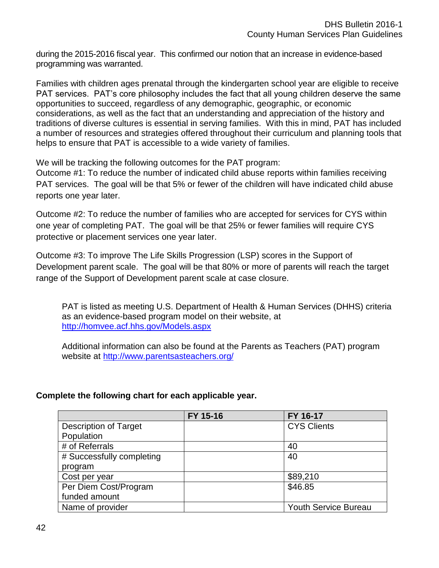during the 2015-2016 fiscal year. This confirmed our notion that an increase in evidence-based programming was warranted.

Families with children ages prenatal through the kindergarten school year are eligible to receive PAT services. PAT's core philosophy includes the fact that all young children deserve the same opportunities to succeed, regardless of any demographic, geographic, or economic considerations, as well as the fact that an understanding and appreciation of the history and traditions of diverse cultures is essential in serving families. With this in mind, PAT has included a number of resources and strategies offered throughout their curriculum and planning tools that helps to ensure that PAT is accessible to a wide variety of families.

We will be tracking the following outcomes for the PAT program:

Outcome #1: To reduce the number of indicated child abuse reports within families receiving PAT services. The goal will be that 5% or fewer of the children will have indicated child abuse reports one year later.

Outcome #2: To reduce the number of families who are accepted for services for CYS within one year of completing PAT. The goal will be that 25% or fewer families will require CYS protective or placement services one year later.

Outcome #3: To improve The Life Skills Progression (LSP) scores in the Support of Development parent scale. The goal will be that 80% or more of parents will reach the target range of the Support of Development parent scale at case closure.

PAT is listed as meeting U.S. Department of Health & Human Services (DHHS) criteria as an evidence-based program model on their website, at <http://homvee.acf.hhs.gov/Models.aspx>

Additional information can also be found at the Parents as Teachers (PAT) program website at<http://www.parentsasteachers.org/>

# **Complete the following chart for each applicable year.**

|                              | FY 15-16 | FY 16-17                    |
|------------------------------|----------|-----------------------------|
| <b>Description of Target</b> |          | <b>CYS Clients</b>          |
| Population                   |          |                             |
| # of Referrals               |          | 40                          |
| # Successfully completing    |          | 40                          |
| program                      |          |                             |
| Cost per year                |          | \$89,210                    |
| Per Diem Cost/Program        |          | \$46.85                     |
| funded amount                |          |                             |
| Name of provider             |          | <b>Youth Service Bureau</b> |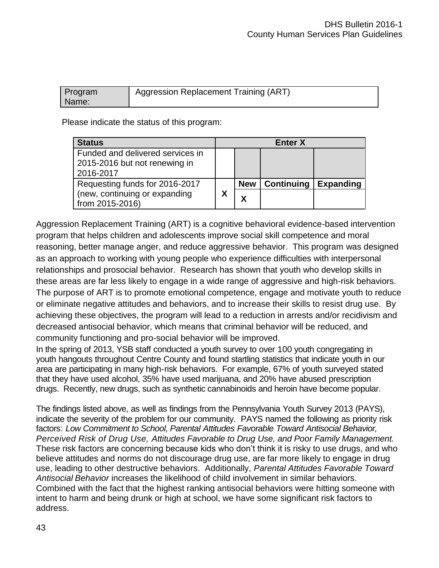| Program | Aggression Replacement Training (ART) |
|---------|---------------------------------------|
| Name:   |                                       |

Please indicate the status of this program:

| <b>Status</b><br><b>Enter X</b>                                                |   |            |                   |                  |
|--------------------------------------------------------------------------------|---|------------|-------------------|------------------|
| Funded and delivered services in<br>2015-2016 but not renewing in<br>2016-2017 |   |            |                   |                  |
| Requesting funds for 2016-2017                                                 |   | <b>New</b> | <b>Continuing</b> | <b>Expanding</b> |
| (new, continuing or expanding<br>from 2015-2016)                               | Χ | χ          |                   |                  |

Aggression Replacement Training (ART) is a cognitive behavioral evidence-based intervention program that helps children and adolescents improve social skill competence and moral reasoning, better manage anger, and reduce aggressive behavior. This program was designed as an approach to working with young people who experience difficulties with interpersonal relationships and prosocial behavior. Research has shown that youth who develop skills in these areas are far less likely to engage in a wide range of aggressive and high-risk behaviors. The purpose of ART is to promote emotional competence, engage and motivate youth to reduce or eliminate negative attitudes and behaviors, and to increase their skills to resist drug use. By achieving these objectives, the program will lead to a reduction in arrests and/or recidivism and decreased antisocial behavior, which means that criminal behavior will be reduced, and community functioning and pro-social behavior will be improved.

In the spring of 2013, YSB staff conducted a youth survey to over 100 youth congregating in youth hangouts throughout Centre County and found startling statistics that indicate youth in our area are participating in many high-risk behaviors. For example, 67% of youth surveyed stated that they have used alcohol, 35% have used marijuana, and 20% have abused prescription drugs. Recently, new drugs, such as synthetic cannabinoids and heroin have become popular.

The findings listed above, as well as findings from the Pennsylvania Youth Survey 2013 (PAYS), indicate the severity of the problem for our community. PAYS named the following as priority risk factors: *Low Commitment to School, Parental Attitudes Favorable Toward Antisocial Behavior, Perceived Risk of Drug Use, Attitudes Favorable to Drug Use, and Poor Family Management.*  These risk factors are concerning because kids who don't think it is risky to use drugs, and who believe attitudes and norms do not discourage drug use, are far more likely to engage in drug use, leading to other destructive behaviors. Additionally, *Parental Attitudes Favorable Toward Antisocial Behavior* increases the likelihood of child involvement in similar behaviors. Combined with the fact that the highest ranking antisocial behaviors were hitting someone with intent to harm and being drunk or high at school, we have some significant risk factors to address.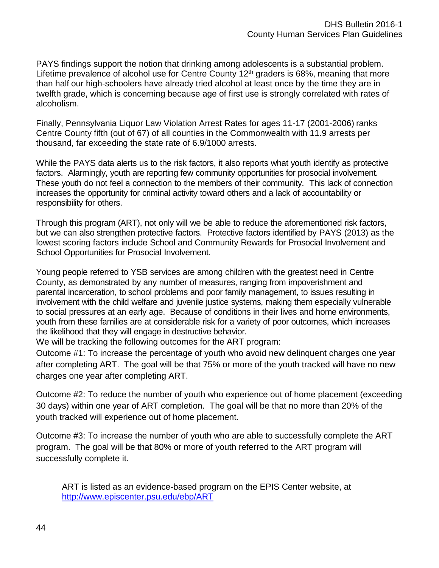PAYS findings support the notion that drinking among adolescents is a substantial problem. Lifetime prevalence of alcohol use for Centre County  $12<sup>th</sup>$  graders is 68%, meaning that more than half our high-schoolers have already tried alcohol at least once by the time they are in twelfth grade, which is concerning because age of first use is strongly correlated with rates of alcoholism.

Finally, Pennsylvania Liquor Law Violation Arrest Rates for ages 11-17 (2001-2006) ranks Centre County fifth (out of 67) of all counties in the Commonwealth with 11.9 arrests per thousand, far exceeding the state rate of 6.9/1000 arrests.

While the PAYS data alerts us to the risk factors, it also reports what youth identify as protective factors. Alarmingly, youth are reporting few community opportunities for prosocial involvement. These youth do not feel a connection to the members of their community. This lack of connection increases the opportunity for criminal activity toward others and a lack of accountability or responsibility for others.

Through this program (ART), not only will we be able to reduce the aforementioned risk factors, but we can also strengthen protective factors. Protective factors identified by PAYS (2013) as the lowest scoring factors include School and Community Rewards for Prosocial Involvement and School Opportunities for Prosocial Involvement.

Young people referred to YSB services are among children with the greatest need in Centre County, as demonstrated by any number of measures, ranging from impoverishment and parental incarceration, to school problems and poor family management, to issues resulting in involvement with the child welfare and juvenile justice systems, making them especially vulnerable to social pressures at an early age. Because of conditions in their lives and home environments, youth from these families are at considerable risk for a variety of poor outcomes, which increases the likelihood that they will engage in destructive behavior.

We will be tracking the following outcomes for the ART program:

Outcome #1: To increase the percentage of youth who avoid new delinquent charges one year after completing ART. The goal will be that 75% or more of the youth tracked will have no new charges one year after completing ART.

Outcome #2: To reduce the number of youth who experience out of home placement (exceeding 30 days) within one year of ART completion. The goal will be that no more than 20% of the youth tracked will experience out of home placement.

Outcome #3: To increase the number of youth who are able to successfully complete the ART program. The goal will be that 80% or more of youth referred to the ART program will successfully complete it.

ART is listed as an evidence-based program on the EPIS Center website, at <http://www.episcenter.psu.edu/ebp/ART>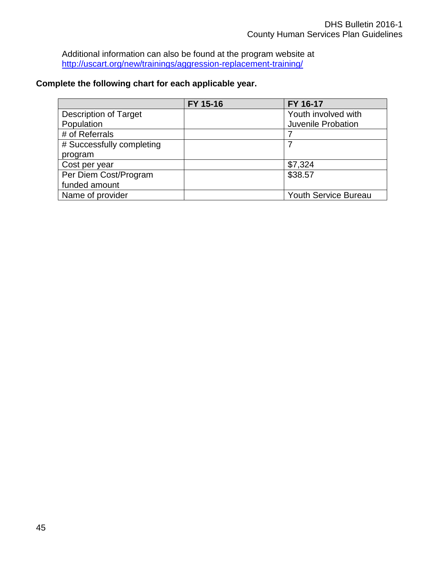Additional information can also be found at the program website at <http://uscart.org/new/trainings/aggression-replacement-training/>

### **Complete the following chart for each applicable year.**

|                              | FY 15-16 | FY 16-17                    |
|------------------------------|----------|-----------------------------|
| <b>Description of Target</b> |          | Youth involved with         |
| Population                   |          | Juvenile Probation          |
| # of Referrals               |          |                             |
| # Successfully completing    |          |                             |
| program                      |          |                             |
| Cost per year                |          | \$7,324                     |
| Per Diem Cost/Program        |          | \$38.57                     |
| funded amount                |          |                             |
| Name of provider             |          | <b>Youth Service Bureau</b> |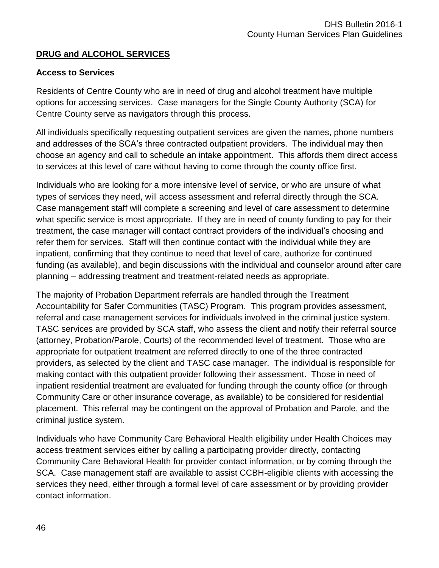# **DRUG and ALCOHOL SERVICES**

### **Access to Services**

Residents of Centre County who are in need of drug and alcohol treatment have multiple options for accessing services. Case managers for the Single County Authority (SCA) for Centre County serve as navigators through this process.

All individuals specifically requesting outpatient services are given the names, phone numbers and addresses of the SCA's three contracted outpatient providers. The individual may then choose an agency and call to schedule an intake appointment. This affords them direct access to services at this level of care without having to come through the county office first.

Individuals who are looking for a more intensive level of service, or who are unsure of what types of services they need, will access assessment and referral directly through the SCA. Case management staff will complete a screening and level of care assessment to determine what specific service is most appropriate. If they are in need of county funding to pay for their treatment, the case manager will contact contract providers of the individual's choosing and refer them for services. Staff will then continue contact with the individual while they are inpatient, confirming that they continue to need that level of care, authorize for continued funding (as available), and begin discussions with the individual and counselor around after care planning – addressing treatment and treatment-related needs as appropriate.

The majority of Probation Department referrals are handled through the Treatment Accountability for Safer Communities (TASC) Program. This program provides assessment, referral and case management services for individuals involved in the criminal justice system. TASC services are provided by SCA staff, who assess the client and notify their referral source (attorney, Probation/Parole, Courts) of the recommended level of treatment. Those who are appropriate for outpatient treatment are referred directly to one of the three contracted providers, as selected by the client and TASC case manager. The individual is responsible for making contact with this outpatient provider following their assessment. Those in need of inpatient residential treatment are evaluated for funding through the county office (or through Community Care or other insurance coverage, as available) to be considered for residential placement. This referral may be contingent on the approval of Probation and Parole, and the criminal justice system.

Individuals who have Community Care Behavioral Health eligibility under Health Choices may access treatment services either by calling a participating provider directly, contacting Community Care Behavioral Health for provider contact information, or by coming through the SCA. Case management staff are available to assist CCBH-eligible clients with accessing the services they need, either through a formal level of care assessment or by providing provider contact information.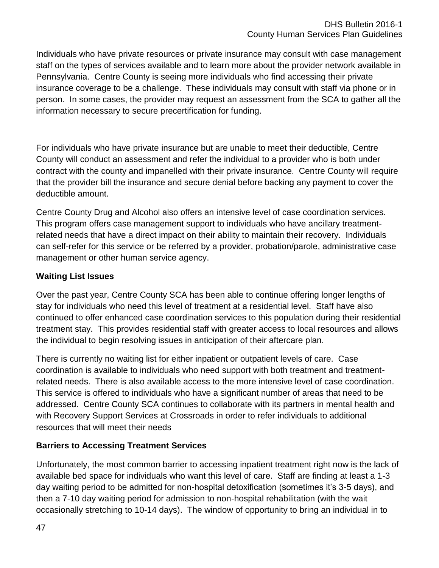Individuals who have private resources or private insurance may consult with case management staff on the types of services available and to learn more about the provider network available in Pennsylvania. Centre County is seeing more individuals who find accessing their private insurance coverage to be a challenge. These individuals may consult with staff via phone or in person. In some cases, the provider may request an assessment from the SCA to gather all the information necessary to secure precertification for funding.

For individuals who have private insurance but are unable to meet their deductible, Centre County will conduct an assessment and refer the individual to a provider who is both under contract with the county and impanelled with their private insurance. Centre County will require that the provider bill the insurance and secure denial before backing any payment to cover the deductible amount.

Centre County Drug and Alcohol also offers an intensive level of case coordination services. This program offers case management support to individuals who have ancillary treatmentrelated needs that have a direct impact on their ability to maintain their recovery. Individuals can self-refer for this service or be referred by a provider, probation/parole, administrative case management or other human service agency.

### **Waiting List Issues**

Over the past year, Centre County SCA has been able to continue offering longer lengths of stay for individuals who need this level of treatment at a residential level. Staff have also continued to offer enhanced case coordination services to this population during their residential treatment stay. This provides residential staff with greater access to local resources and allows the individual to begin resolving issues in anticipation of their aftercare plan.

There is currently no waiting list for either inpatient or outpatient levels of care. Case coordination is available to individuals who need support with both treatment and treatmentrelated needs. There is also available access to the more intensive level of case coordination. This service is offered to individuals who have a significant number of areas that need to be addressed. Centre County SCA continues to collaborate with its partners in mental health and with Recovery Support Services at Crossroads in order to refer individuals to additional resources that will meet their needs

# **Barriers to Accessing Treatment Services**

Unfortunately, the most common barrier to accessing inpatient treatment right now is the lack of available bed space for individuals who want this level of care. Staff are finding at least a 1-3 day waiting period to be admitted for non-hospital detoxification (sometimes it's 3-5 days), and then a 7-10 day waiting period for admission to non-hospital rehabilitation (with the wait occasionally stretching to 10-14 days). The window of opportunity to bring an individual in to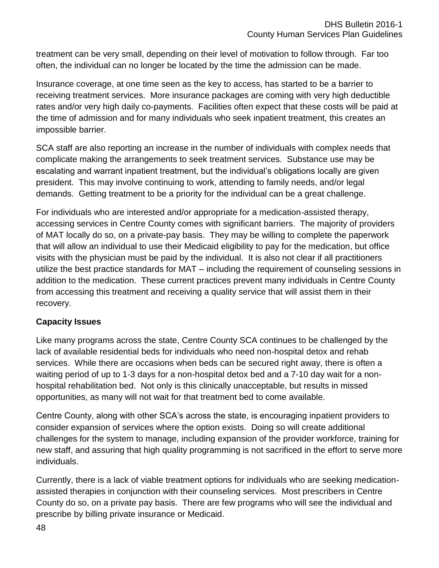treatment can be very small, depending on their level of motivation to follow through. Far too often, the individual can no longer be located by the time the admission can be made.

Insurance coverage, at one time seen as the key to access, has started to be a barrier to receiving treatment services. More insurance packages are coming with very high deductible rates and/or very high daily co-payments. Facilities often expect that these costs will be paid at the time of admission and for many individuals who seek inpatient treatment, this creates an impossible barrier.

SCA staff are also reporting an increase in the number of individuals with complex needs that complicate making the arrangements to seek treatment services. Substance use may be escalating and warrant inpatient treatment, but the individual's obligations locally are given president. This may involve continuing to work, attending to family needs, and/or legal demands. Getting treatment to be a priority for the individual can be a great challenge.

For individuals who are interested and/or appropriate for a medication-assisted therapy, accessing services in Centre County comes with significant barriers. The majority of providers of MAT locally do so, on a private-pay basis. They may be willing to complete the paperwork that will allow an individual to use their Medicaid eligibility to pay for the medication, but office visits with the physician must be paid by the individual. It is also not clear if all practitioners utilize the best practice standards for MAT – including the requirement of counseling sessions in addition to the medication. These current practices prevent many individuals in Centre County from accessing this treatment and receiving a quality service that will assist them in their recovery.

# **Capacity Issues**

Like many programs across the state, Centre County SCA continues to be challenged by the lack of available residential beds for individuals who need non-hospital detox and rehab services. While there are occasions when beds can be secured right away, there is often a waiting period of up to 1-3 days for a non-hospital detox bed and a 7-10 day wait for a nonhospital rehabilitation bed. Not only is this clinically unacceptable, but results in missed opportunities, as many will not wait for that treatment bed to come available.

Centre County, along with other SCA's across the state, is encouraging inpatient providers to consider expansion of services where the option exists. Doing so will create additional challenges for the system to manage, including expansion of the provider workforce, training for new staff, and assuring that high quality programming is not sacrificed in the effort to serve more individuals.

Currently, there is a lack of viable treatment options for individuals who are seeking medicationassisted therapies in conjunction with their counseling services. Most prescribers in Centre County do so, on a private pay basis. There are few programs who will see the individual and prescribe by billing private insurance or Medicaid.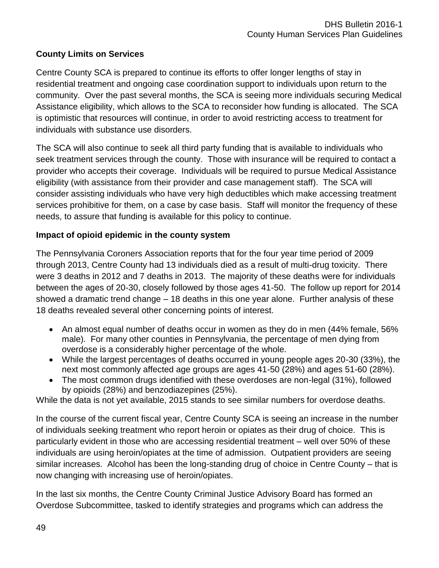### **County Limits on Services**

Centre County SCA is prepared to continue its efforts to offer longer lengths of stay in residential treatment and ongoing case coordination support to individuals upon return to the community. Over the past several months, the SCA is seeing more individuals securing Medical Assistance eligibility, which allows to the SCA to reconsider how funding is allocated. The SCA is optimistic that resources will continue, in order to avoid restricting access to treatment for individuals with substance use disorders.

The SCA will also continue to seek all third party funding that is available to individuals who seek treatment services through the county. Those with insurance will be required to contact a provider who accepts their coverage. Individuals will be required to pursue Medical Assistance eligibility (with assistance from their provider and case management staff). The SCA will consider assisting individuals who have very high deductibles which make accessing treatment services prohibitive for them, on a case by case basis. Staff will monitor the frequency of these needs, to assure that funding is available for this policy to continue.

### **Impact of opioid epidemic in the county system**

The Pennsylvania Coroners Association reports that for the four year time period of 2009 through 2013, Centre County had 13 individuals died as a result of multi-drug toxicity. There were 3 deaths in 2012 and 7 deaths in 2013. The majority of these deaths were for individuals between the ages of 20-30, closely followed by those ages 41-50. The follow up report for 2014 showed a dramatic trend change – 18 deaths in this one year alone. Further analysis of these 18 deaths revealed several other concerning points of interest.

- An almost equal number of deaths occur in women as they do in men (44% female, 56% male). For many other counties in Pennsylvania, the percentage of men dying from overdose is a considerably higher percentage of the whole.
- While the largest percentages of deaths occurred in young people ages 20-30 (33%), the next most commonly affected age groups are ages 41-50 (28%) and ages 51-60 (28%).
- The most common drugs identified with these overdoses are non-legal (31%), followed by opioids (28%) and benzodiazepines (25%).

While the data is not yet available, 2015 stands to see similar numbers for overdose deaths.

In the course of the current fiscal year, Centre County SCA is seeing an increase in the number of individuals seeking treatment who report heroin or opiates as their drug of choice. This is particularly evident in those who are accessing residential treatment – well over 50% of these individuals are using heroin/opiates at the time of admission. Outpatient providers are seeing similar increases. Alcohol has been the long-standing drug of choice in Centre County – that is now changing with increasing use of heroin/opiates.

In the last six months, the Centre County Criminal Justice Advisory Board has formed an Overdose Subcommittee, tasked to identify strategies and programs which can address the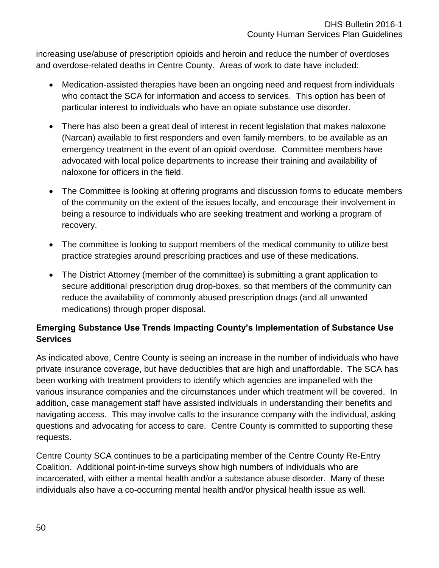increasing use/abuse of prescription opioids and heroin and reduce the number of overdoses and overdose-related deaths in Centre County. Areas of work to date have included:

- Medication-assisted therapies have been an ongoing need and request from individuals who contact the SCA for information and access to services. This option has been of particular interest to individuals who have an opiate substance use disorder.
- There has also been a great deal of interest in recent legislation that makes naloxone (Narcan) available to first responders and even family members, to be available as an emergency treatment in the event of an opioid overdose. Committee members have advocated with local police departments to increase their training and availability of naloxone for officers in the field.
- The Committee is looking at offering programs and discussion forms to educate members of the community on the extent of the issues locally, and encourage their involvement in being a resource to individuals who are seeking treatment and working a program of recovery.
- The committee is looking to support members of the medical community to utilize best practice strategies around prescribing practices and use of these medications.
- The District Attorney (member of the committee) is submitting a grant application to secure additional prescription drug drop-boxes, so that members of the community can reduce the availability of commonly abused prescription drugs (and all unwanted medications) through proper disposal.

# **Emerging Substance Use Trends Impacting County's Implementation of Substance Use Services**

As indicated above, Centre County is seeing an increase in the number of individuals who have private insurance coverage, but have deductibles that are high and unaffordable. The SCA has been working with treatment providers to identify which agencies are impanelled with the various insurance companies and the circumstances under which treatment will be covered. In addition, case management staff have assisted individuals in understanding their benefits and navigating access. This may involve calls to the insurance company with the individual, asking questions and advocating for access to care. Centre County is committed to supporting these requests.

Centre County SCA continues to be a participating member of the Centre County Re-Entry Coalition. Additional point-in-time surveys show high numbers of individuals who are incarcerated, with either a mental health and/or a substance abuse disorder. Many of these individuals also have a co-occurring mental health and/or physical health issue as well.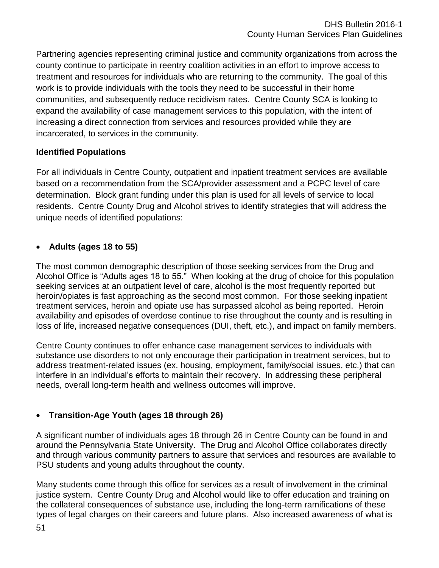Partnering agencies representing criminal justice and community organizations from across the county continue to participate in reentry coalition activities in an effort to improve access to treatment and resources for individuals who are returning to the community. The goal of this work is to provide individuals with the tools they need to be successful in their home communities, and subsequently reduce recidivism rates. Centre County SCA is looking to expand the availability of case management services to this population, with the intent of increasing a direct connection from services and resources provided while they are incarcerated, to services in the community.

# **Identified Populations**

For all individuals in Centre County, outpatient and inpatient treatment services are available based on a recommendation from the SCA/provider assessment and a PCPC level of care determination. Block grant funding under this plan is used for all levels of service to local residents. Centre County Drug and Alcohol strives to identify strategies that will address the unique needs of identified populations:

# **Adults (ages 18 to 55)**

The most common demographic description of those seeking services from the Drug and Alcohol Office is "Adults ages 18 to 55." When looking at the drug of choice for this population seeking services at an outpatient level of care, alcohol is the most frequently reported but heroin/opiates is fast approaching as the second most common. For those seeking inpatient treatment services, heroin and opiate use has surpassed alcohol as being reported. Heroin availability and episodes of overdose continue to rise throughout the county and is resulting in loss of life, increased negative consequences (DUI, theft, etc.), and impact on family members.

Centre County continues to offer enhance case management services to individuals with substance use disorders to not only encourage their participation in treatment services, but to address treatment-related issues (ex. housing, employment, family/social issues, etc.) that can interfere in an individual's efforts to maintain their recovery. In addressing these peripheral needs, overall long-term health and wellness outcomes will improve.

# **Transition-Age Youth (ages 18 through 26)**

A significant number of individuals ages 18 through 26 in Centre County can be found in and around the Pennsylvania State University. The Drug and Alcohol Office collaborates directly and through various community partners to assure that services and resources are available to PSU students and young adults throughout the county.

Many students come through this office for services as a result of involvement in the criminal justice system. Centre County Drug and Alcohol would like to offer education and training on the collateral consequences of substance use, including the long-term ramifications of these types of legal charges on their careers and future plans. Also increased awareness of what is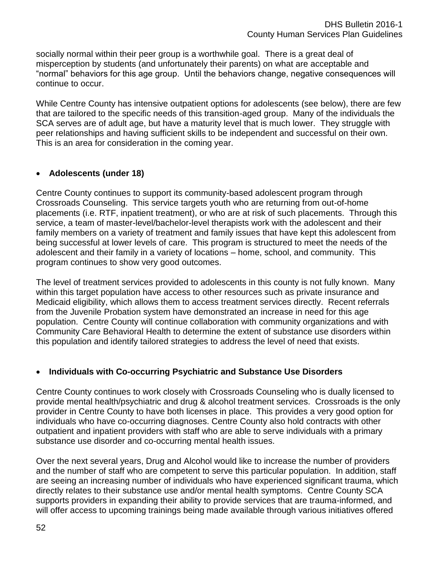socially normal within their peer group is a worthwhile goal. There is a great deal of misperception by students (and unfortunately their parents) on what are acceptable and "normal" behaviors for this age group. Until the behaviors change, negative consequences will continue to occur.

While Centre County has intensive outpatient options for adolescents (see below), there are few that are tailored to the specific needs of this transition-aged group. Many of the individuals the SCA serves are of adult age, but have a maturity level that is much lower. They struggle with peer relationships and having sufficient skills to be independent and successful on their own. This is an area for consideration in the coming year.

### **Adolescents (under 18)**

Centre County continues to support its community-based adolescent program through Crossroads Counseling. This service targets youth who are returning from out-of-home placements (i.e. RTF, inpatient treatment), or who are at risk of such placements. Through this service, a team of master-level/bachelor-level therapists work with the adolescent and their family members on a variety of treatment and family issues that have kept this adolescent from being successful at lower levels of care. This program is structured to meet the needs of the adolescent and their family in a variety of locations – home, school, and community. This program continues to show very good outcomes.

The level of treatment services provided to adolescents in this county is not fully known. Many within this target population have access to other resources such as private insurance and Medicaid eligibility, which allows them to access treatment services directly. Recent referrals from the Juvenile Probation system have demonstrated an increase in need for this age population. Centre County will continue collaboration with community organizations and with Community Care Behavioral Health to determine the extent of substance use disorders within this population and identify tailored strategies to address the level of need that exists.

### **Individuals with Co-occurring Psychiatric and Substance Use Disorders**

Centre County continues to work closely with Crossroads Counseling who is dually licensed to provide mental health/psychiatric and drug & alcohol treatment services. Crossroads is the only provider in Centre County to have both licenses in place. This provides a very good option for individuals who have co-occurring diagnoses. Centre County also hold contracts with other outpatient and inpatient providers with staff who are able to serve individuals with a primary substance use disorder and co-occurring mental health issues.

Over the next several years, Drug and Alcohol would like to increase the number of providers and the number of staff who are competent to serve this particular population. In addition, staff are seeing an increasing number of individuals who have experienced significant trauma, which directly relates to their substance use and/or mental health symptoms. Centre County SCA supports providers in expanding their ability to provide services that are trauma-informed, and will offer access to upcoming trainings being made available through various initiatives offered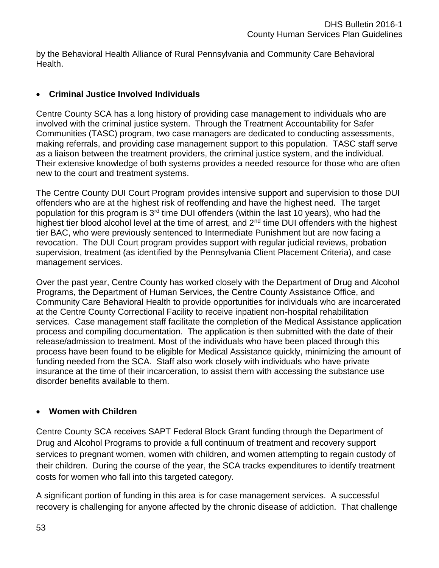by the Behavioral Health Alliance of Rural Pennsylvania and Community Care Behavioral Health.

## **Criminal Justice Involved Individuals**

Centre County SCA has a long history of providing case management to individuals who are involved with the criminal justice system. Through the Treatment Accountability for Safer Communities (TASC) program, two case managers are dedicated to conducting assessments, making referrals, and providing case management support to this population. TASC staff serve as a liaison between the treatment providers, the criminal justice system, and the individual. Their extensive knowledge of both systems provides a needed resource for those who are often new to the court and treatment systems.

The Centre County DUI Court Program provides intensive support and supervision to those DUI offenders who are at the highest risk of reoffending and have the highest need. The target population for this program is 3<sup>rd</sup> time DUI offenders (within the last 10 years), who had the highest tier blood alcohol level at the time of arrest, and 2<sup>nd</sup> time DUI offenders with the highest tier BAC, who were previously sentenced to Intermediate Punishment but are now facing a revocation. The DUI Court program provides support with regular judicial reviews, probation supervision, treatment (as identified by the Pennsylvania Client Placement Criteria), and case management services.

Over the past year, Centre County has worked closely with the Department of Drug and Alcohol Programs, the Department of Human Services, the Centre County Assistance Office, and Community Care Behavioral Health to provide opportunities for individuals who are incarcerated at the Centre County Correctional Facility to receive inpatient non-hospital rehabilitation services. Case management staff facilitate the completion of the Medical Assistance application process and compiling documentation. The application is then submitted with the date of their release/admission to treatment. Most of the individuals who have been placed through this process have been found to be eligible for Medical Assistance quickly, minimizing the amount of funding needed from the SCA. Staff also work closely with individuals who have private insurance at the time of their incarceration, to assist them with accessing the substance use disorder benefits available to them.

# **Women with Children**

Centre County SCA receives SAPT Federal Block Grant funding through the Department of Drug and Alcohol Programs to provide a full continuum of treatment and recovery support services to pregnant women, women with children, and women attempting to regain custody of their children. During the course of the year, the SCA tracks expenditures to identify treatment costs for women who fall into this targeted category.

A significant portion of funding in this area is for case management services. A successful recovery is challenging for anyone affected by the chronic disease of addiction. That challenge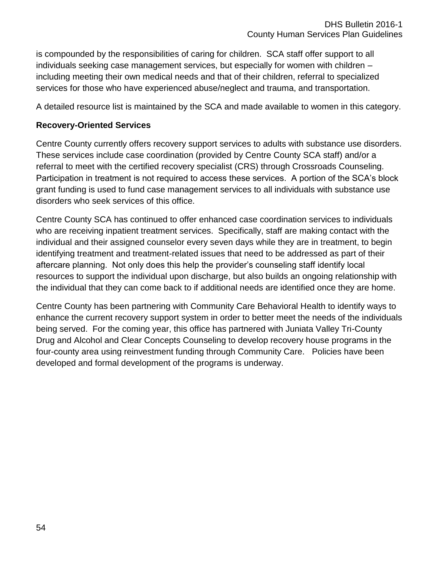is compounded by the responsibilities of caring for children. SCA staff offer support to all individuals seeking case management services, but especially for women with children – including meeting their own medical needs and that of their children, referral to specialized services for those who have experienced abuse/neglect and trauma, and transportation.

A detailed resource list is maintained by the SCA and made available to women in this category.

### **Recovery-Oriented Services**

Centre County currently offers recovery support services to adults with substance use disorders. These services include case coordination (provided by Centre County SCA staff) and/or a referral to meet with the certified recovery specialist (CRS) through Crossroads Counseling. Participation in treatment is not required to access these services. A portion of the SCA's block grant funding is used to fund case management services to all individuals with substance use disorders who seek services of this office.

Centre County SCA has continued to offer enhanced case coordination services to individuals who are receiving inpatient treatment services. Specifically, staff are making contact with the individual and their assigned counselor every seven days while they are in treatment, to begin identifying treatment and treatment-related issues that need to be addressed as part of their aftercare planning. Not only does this help the provider's counseling staff identify local resources to support the individual upon discharge, but also builds an ongoing relationship with the individual that they can come back to if additional needs are identified once they are home.

Centre County has been partnering with Community Care Behavioral Health to identify ways to enhance the current recovery support system in order to better meet the needs of the individuals being served. For the coming year, this office has partnered with Juniata Valley Tri-County Drug and Alcohol and Clear Concepts Counseling to develop recovery house programs in the four-county area using reinvestment funding through Community Care. Policies have been developed and formal development of the programs is underway.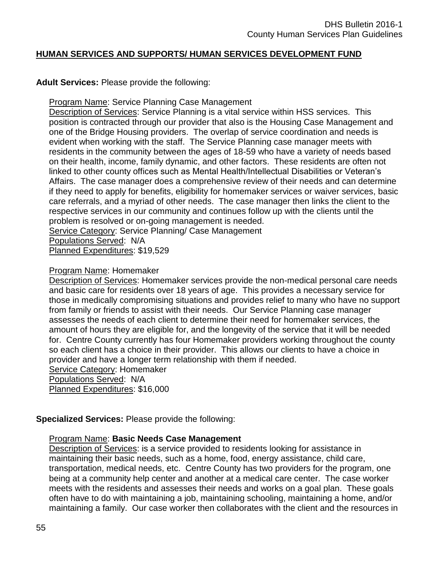#### **HUMAN SERVICES AND SUPPORTS/ HUMAN SERVICES DEVELOPMENT FUND**

#### **Adult Services:** Please provide the following:

**Program Name: Service Planning Case Management** 

Description of Services: Service Planning is a vital service within HSS services. This position is contracted through our provider that also is the Housing Case Management and one of the Bridge Housing providers. The overlap of service coordination and needs is evident when working with the staff. The Service Planning case manager meets with residents in the community between the ages of 18-59 who have a variety of needs based on their health, income, family dynamic, and other factors. These residents are often not linked to other county offices such as Mental Health/Intellectual Disabilities or Veteran's Affairs. The case manager does a comprehensive review of their needs and can determine if they need to apply for benefits, eligibility for homemaker services or waiver services, basic care referrals, and a myriad of other needs. The case manager then links the client to the respective services in our community and continues follow up with the clients until the problem is resolved or on-going management is needed.

Service Category: Service Planning/ Case Management

Populations Served: N/A

Planned Expenditures: \$19,529

#### Program Name: Homemaker

Description of Services: Homemaker services provide the non-medical personal care needs and basic care for residents over 18 years of age. This provides a necessary service for those in medically compromising situations and provides relief to many who have no support from family or friends to assist with their needs. Our Service Planning case manager assesses the needs of each client to determine their need for homemaker services, the amount of hours they are eligible for, and the longevity of the service that it will be needed for. Centre County currently has four Homemaker providers working throughout the county so each client has a choice in their provider. This allows our clients to have a choice in provider and have a longer term relationship with them if needed. Service Category: Homemaker Populations Served: N/A

Planned Expenditures: \$16,000

#### **Specialized Services:** Please provide the following:

#### Program Name: **Basic Needs Case Management**

Description of Services: is a service provided to residents looking for assistance in maintaining their basic needs, such as a home, food, energy assistance, child care, transportation, medical needs, etc. Centre County has two providers for the program, one being at a community help center and another at a medical care center. The case worker meets with the residents and assesses their needs and works on a goal plan. These goals often have to do with maintaining a job, maintaining schooling, maintaining a home, and/or maintaining a family. Our case worker then collaborates with the client and the resources in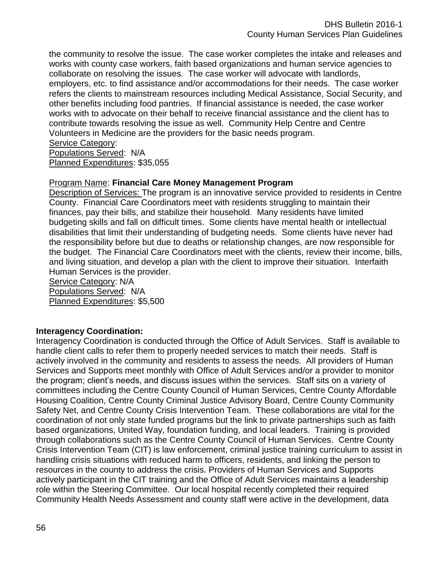the community to resolve the issue. The case worker completes the intake and releases and works with county case workers, faith based organizations and human service agencies to collaborate on resolving the issues. The case worker will advocate with landlords, employers, etc. to find assistance and/or accommodations for their needs. The case worker refers the clients to mainstream resources including Medical Assistance, Social Security, and other benefits including food pantries. If financial assistance is needed, the case worker works with to advocate on their behalf to receive financial assistance and the client has to contribute towards resolving the issue as well. Community Help Centre and Centre Volunteers in Medicine are the providers for the basic needs program.

#### Service Category:

Populations Served: N/A Planned Expenditures: \$35,055

### Program Name: **Financial Care Money Management Program**

Description of Services: The program is an innovative service provided to residents in Centre County. Financial Care Coordinators meet with residents struggling to maintain their finances, pay their bills, and stabilize their household. Many residents have limited budgeting skills and fall on difficult times. Some clients have mental health or intellectual disabilities that limit their understanding of budgeting needs. Some clients have never had the responsibility before but due to deaths or relationship changes, are now responsible for the budget. The Financial Care Coordinators meet with the clients, review their income, bills, and living situation, and develop a plan with the client to improve their situation. Interfaith Human Services is the provider.

Service Category: N/A Populations Served: N/A Planned Expenditures: \$5,500

### **Interagency Coordination:**

Interagency Coordination is conducted through the Office of Adult Services. Staff is available to handle client calls to refer them to properly needed services to match their needs. Staff is actively involved in the community and residents to assess the needs. All providers of Human Services and Supports meet monthly with Office of Adult Services and/or a provider to monitor the program; client's needs, and discuss issues within the services. Staff sits on a variety of committees including the Centre County Council of Human Services, Centre County Affordable Housing Coalition, Centre County Criminal Justice Advisory Board, Centre County Community Safety Net, and Centre County Crisis Intervention Team. These collaborations are vital for the coordination of not only state funded programs but the link to private partnerships such as faith based organizations, United Way, foundation funding, and local leaders. Training is provided through collaborations such as the Centre County Council of Human Services. Centre County Crisis Intervention Team (CIT) is law enforcement, criminal justice training curriculum to assist in handling crisis situations with reduced harm to officers, residents, and linking the person to resources in the county to address the crisis. Providers of Human Services and Supports actively participant in the CIT training and the Office of Adult Services maintains a leadership role within the Steering Committee. Our local hospital recently completed their required Community Health Needs Assessment and county staff were active in the development, data